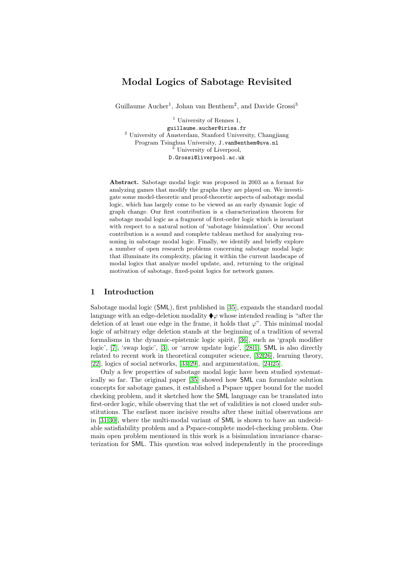# Modal Logics of Sabotage Revisited

Guillaume Aucher<sup>1</sup>, Johan van Benthem<sup>2</sup>, and Davide Grossi<sup>3</sup>

<sup>1</sup> University of Rennes 1, guillaume.aucher@irisa.fr <sup>2</sup> University of Amsterdam, Stanford University, Changjiang Program Tsinghua University, J.vanBenthem@uva.nl University of Liverpool, D.Grossi@liverpool.ac.uk

Abstract. Sabotage modal logic was proposed in 2003 as a format for analyzing games that modify the graphs they are played on. We investigate some model-theoretic and proof-theoretic aspects of sabotage modal logic, which has largely come to be viewed as an early dynamic logic of graph change. Our first contribution is a characterization theorem for sabotage modal logic as a fragment of first-order logic which is invariant with respect to a natural notion of 'sabotage bisimulation'. Our second contribution is a sound and complete tableau method for analyzing reasoning in sabotage modal logic. Finally, we identify and briefly explore a number of open research problems concerning sabotage modal logic that illuminate its complexity, placing it within the current landscape of modal logics that analyze model update, and, returning to the original motivation of sabotage, fixed-point logics for network games.

### 1 Introduction

Sabotage modal logic (SML), first published in [\[35\]](#page-32-0), expands the standard modal language with an edge-deletion modality  $\blacklozenge \varphi$  whose intended reading is "after the deletion of at least one edge in the frame, it holds that  $\varphi$ ". This minimal modal logic of arbitrary edge deletion stands at the beginning of a tradition of several formalisms in the dynamic-epistemic logic spirit, [\[36\]](#page-32-1), such as 'graph modifier logic', [\[7\]](#page-30-0), 'swap logic', [\[3\]](#page-30-1), or 'arrow update logic', [\[28,](#page-31-0)[1\]](#page-30-2). SML is also directly related to recent work in theoretical computer science, [\[32,](#page-31-1)[26\]](#page-31-2), learning theory, [\[22\]](#page-31-3), logics of social networks, [\[33,](#page-32-2)[29\]](#page-31-4), and argumentation, [\[24,](#page-31-5)[25\]](#page-31-6).

Only a few properties of sabotage modal logic have been studied systematically so far. The original paper [\[35\]](#page-32-0) showed how SML can formulate solution concepts for sabotage games, it established a Pspace upper bound for the model checking problem, and it sketched how the SML language can be translated into first-order logic, while observing that the set of validities is not closed under substitutions. The earliest more incisive results after these initial observations are in [\[31](#page-31-7)[,30\]](#page-31-8), where the multi-modal variant of SML is shown to have an undecidable satisfiability problem and a Pspace-complete model-checking problem. One main open problem mentioned in this work is a bisimulation invariance characterization for SML. This question was solved independently in the proceedings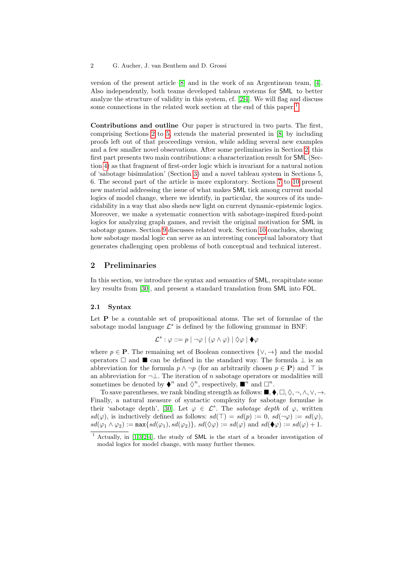version of the present article [\[8\]](#page-30-3) and in the work of an Argentinean team, [\[4\]](#page-30-4). Also independently, both teams developed tableau systems for SML to better analyze the structure of validity in this system, cf. [\[2,](#page-30-5)[4\]](#page-30-4). We will flag and discuss some connections in the related work section at the end of this paper.<sup>[1](#page-1-0)</sup>

Contributions and outline Our paper is structured in two parts. The first, comprising Sections [2](#page-1-1) to [5,](#page-12-0) extends the material presented in [\[8\]](#page-30-3) by including proofs left out of that proceedings version, while adding several new examples and a few smaller novel observations. After some preliminaries in Section [2,](#page-1-1) this first part presents two main contributions: a characterization result for SML (Section [4\)](#page-9-0) as that fragment of first-order logic which is invariant for a natural notion of 'sabotage bisimulation' (Section [3\)](#page-7-0) and a novel tableau system in Sections 5, 6. The second part of the article is more exploratory. Sections [7](#page-18-0) to [10](#page-28-0) present new material addressing the issue of what makes SML tick among current modal logics of model change, where we identify, in particular, the sources of its undecidability in a way that also sheds new light on current dynamic-epistemic logics. Moreover, we make a systematic connection with sabotage-inspired fixed-point logics for analyzing graph games, and revisit the original motivation for SML in sabotage games. Section [9](#page-27-0) discusses related work. Section [10](#page-28-0) concludes, showing how sabotage modal logic can serve as an interesting conceptual laboratory that generates challenging open problems of both conceptual and technical interest.

## <span id="page-1-1"></span>2 Preliminaries

In this section, we introduce the syntax and semantics of SML, recapitulate some key results from [\[30\]](#page-31-8), and present a standard translation from SML into FOL.

### 2.1 Syntax

Let **P** be a countable set of propositional atoms. The set of formulae of the sabotage modal language  $\mathcal{L}^s$  is defined by the following grammar in BNF:

$$
\mathcal{L}^s : \varphi ::= p \mid \neg \varphi \mid (\varphi \land \varphi) \mid \Diamond \varphi \mid \blacklozenge \varphi
$$

where  $p \in \mathbf{P}$ . The remaining set of Boolean connectives  $\{\vee, \to\}$  and the modal operators  $\Box$  and  $\blacksquare$  can be defined in the standard way. The formula  $\bot$  is an abbreviation for the formula  $p \wedge \neg p$  (for an arbitrarily chosen  $p \in \mathbf{P}$ ) and  $\top$  is an abbreviation for  $\neg \bot$ . The iteration of n sabotage operators or modalities will sometimes be denoted by  $\blacklozenge^n$  and  $\Diamond^n$ , respectively,  $\blacksquare^n$  and  $\square^n$ .

To save parentheses, we rank binding strength as follows:  $\blacksquare, \blacklozenge, \square, \lozenge, \neg, \wedge, \vee, \rightarrow$ . Finally, a natural measure of syntactic complexity for sabotage formulae is their 'sabotage depth', [\[30\]](#page-31-8). Let  $\varphi \in \mathcal{L}^s$ . The sabotage depth of  $\varphi$ , written  $sd(\varphi)$ , is inductively defined as follows:  $sd(\top) = sd(p) := 0$ ,  $sd(\neg \varphi) := sd(\varphi)$ ,  $sd(\varphi_1 \wedge \varphi_2) := \max\{sd(\varphi_1), sd(\varphi_2)\}, \, sd(\Diamond \varphi) := sd(\varphi) \text{ and } sd(\blacklozenge \varphi) := sd(\varphi) + 1.$ 

<span id="page-1-0"></span>Actually, in  $[1,3,2,4]$  $[1,3,2,4]$  $[1,3,2,4]$  $[1,3,2,4]$ , the study of SML is the start of a broader investigation of modal logics for model change, with many further themes.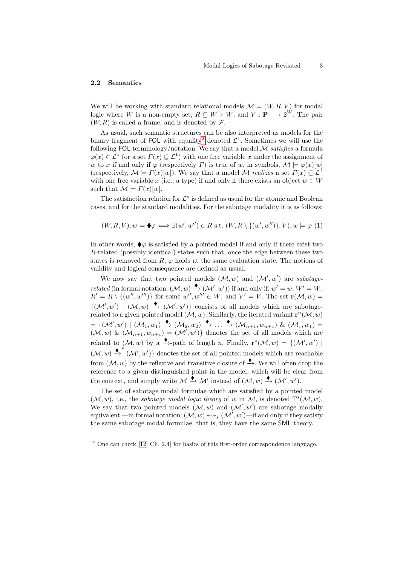#### 2.2 Semantics

We will be working with standard relational models  $\mathcal{M} = (W, R, V)$  for modal logic where W is a non-empty set;  $R \subseteq W \times W$ , and  $V : \mathbf{P} \longrightarrow 2^W$ . The pair  $(W, R)$  is called a frame, and is denoted by  $\mathcal{F}$ .

As usual, such semantic structures can be also interpreted as models for the binary fragment of FOL with equality<sup>[2](#page-2-0)</sup> denoted  $\mathcal{L}^1$ . Sometimes we will use the following FOL terminology/notation. We say that a model  $\cal{M}$  satisfies a formula  $\varphi(x) \in \mathcal{L}^1$  (or a set  $\Gamma(x) \subseteq \mathcal{L}^1$ ) with one free variable x under the assignment of w to x if and only if  $\varphi$  (respectively  $\Gamma$ ) is true of w, in symbols,  $\mathcal{M} \models \varphi(x)[w]$ (respectively,  $\mathcal{M} \models \Gamma(x)[w]$ ). We say that a model M realizes a set  $\Gamma(x) \subseteq \mathcal{L}^1$ with one free variable x (i.e., a type) if and only if there exists an object  $w \in W$ such that  $\mathcal{M} \models \Gamma(x)[w].$ 

The satisfaction relation for  $\mathcal{L}^s$  is defined as usual for the atomic and Boolean cases, and for the standard modalities. For the sabotage modality it is as follows:

<span id="page-2-1"></span>
$$
(W, R, V), w \models \blacklozenge \varphi \Longleftrightarrow \exists (w', w'') \in R \text{ s.t. } (W, R \setminus \{(w', w'')\}, V), w \models \varphi(1)
$$

In other words,  $\blacklozenge \varphi$  is satisfied by a pointed model if and only if there exist two R-related (possibly identical) states such that, once the edge between these two states is removed from  $R, \varphi$  holds at the same evaluation state. The notions of validity and logical consequence are defined as usual.

We now say that two pointed models  $(M, w)$  and  $(M', w')$  are sabotage*related* (in formal notation,  $(M, w) \xrightarrow{\blacklozenge} (M', w')$ ) if and only if:  $w' = w$ ;  $W' = W$ ;  $R' = R \setminus \{(w'', w''')\}$  for some  $w'', w''' \in W$ ; and  $V' = V$ . The set  $\mathbf{r}(\mathcal{M}, w) =$  ${(\mathcal{M}', w') \mid (\mathcal{M}, w) \stackrel{\blacklozenge}{\rightarrow} (\mathcal{M}', w') }$  consists of all models which are sabotagerelated to a given pointed model  $(M, w)$ . Similarly, the iterated variant  $\mathbf{r}^{n}(M, w)$  $=\{(\mathcal{M}', w') \mid (\mathcal{M}_1, w_1) \stackrel{\blacklozenge}{\rightarrow} (\mathcal{M}_2, w_2) \stackrel{\blacklozenge}{\rightarrow} \ldots \stackrel{\blacklozenge}{\rightarrow} (\mathcal{M}_{n+1}, w_{n+1}) \& (\mathcal{M}_1, w_1) =$  $(\mathcal{M}, w)$  &  $(\mathcal{M}_{n+1}, w_{n+1}) = (\mathcal{M}', w')$  denotes the set of all models which are related to  $(\mathcal{M}, w)$  by a  $\stackrel{\blacklozenge}{\longrightarrow}$ -path of length n. Finally,  $\mathbf{r}^*(\mathcal{M}, w) = \{(\mathcal{M}', w') \mid$  $(\mathcal{M}, w) \stackrel{\blacklozenge}{\rightarrow} (\mathcal{M}', w')$  denotes the set of all pointed models which are reachable from  $(\mathcal{M}, w)$  by the reflexive and transitive closure of  $\stackrel{\blacklozenge}{\to}$ . We will often drop the reference to a given distinguished point in the model, which will be clear from the context, and simply write  $\mathcal{M} \xrightarrow{\bullet} \mathcal{M}'$  instead of  $(\mathcal{M}, w) \xrightarrow{\bullet} (\mathcal{M}', w')$ .

The set of sabotage modal formulae which are satisfied by a pointed model  $(M, w)$ , i.e., the sabotage modal logic theory of w in M, is denoted  $\mathbb{T}^{s}(\mathcal{M}, w)$ . We say that two pointed models  $(M, w)$  and  $(M', w')$  are sabotage modally equivalent —in formal notation:  $(\mathcal{M}, w) \leftrightsquigarrow_s (\mathcal{M}', w')$ —if and only if they satisfy the same sabotage modal formulae, that is, they have the same SML theory.

<span id="page-2-0"></span><sup>2</sup> One can check [\[12,](#page-30-6) Ch. 2.4] for basics of this first-order correspondence language.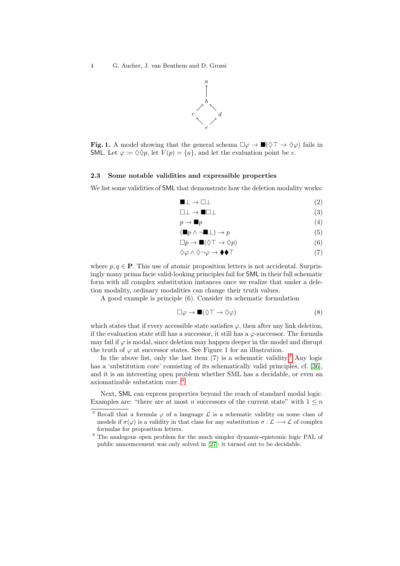

**Fig. 1.** A model showing that the general schema  $\Box \varphi \rightarrow \blacksquare (\Diamond \top \rightarrow \Diamond \varphi)$  fails in SML. Let  $\varphi := \Diamond \Diamond p$ , let  $V(p) = \{a\}$ , and let the evaluation point be e.

#### 2.3 Some notable validities and expressible properties

We list some validities of **SML** that demonstrate how the deletion modality works:

$$
\blacksquare \bot \to \square \bot \tag{2}
$$

$$
\Box \bot \to \blacksquare \Box \bot \tag{3}
$$

$$
p \to \blacksquare p \tag{4}
$$

$$
(\blacksquare p \land \neg \blacksquare \bot) \to p \tag{5}
$$

$$
\Box p \to \blacksquare (\Diamond \top \to \Diamond p) \tag{6}
$$

$$
\Diamond \varphi \land \Diamond \neg \varphi \to \blacklozenge \blacklozenge \top
$$
\n<sup>(7)</sup>

where  $p, q \in \mathbf{P}$ . This use of atomic proposition letters is not accidental. Surprisingly many prima facie valid-looking principles fail for SML in their full schematic form with all complex substitution instances once we realize that under a deletion modality, ordinary modalities can change their truth values.

A good example is principle (6). Consider its schematic formulation

$$
\Box \varphi \to \blacksquare (\Diamond \top \to \Diamond \varphi) \tag{8}
$$

which states that if every accessible state satisfies  $\varphi$ , then after any link deletion, if the evaluation state still has a successor, it still has a  $\varphi$ -successor. The formula may fail if  $\varphi$  is modal, since deletion may happen deeper in the model and disrupt the truth of  $\varphi$  at successor states. See Figure 1 for an illustration.

In the above list, only the last item  $(7)$  is a schematic validity.<sup>[3](#page-3-0)</sup> Any logic has a 'substitution core' consisting of its schematically valid principles, cf. [\[36\]](#page-32-1), and it is an interesting open problem whether SML has a decidable, or even an axiomatizable substation core. [4](#page-3-1)

Next, SML can express properties beyond the reach of standard modal logic. Examples are: "there are at most n successors of the current state" with  $1 \leq n$ 

<span id="page-3-0"></span><sup>&</sup>lt;sup>3</sup> Recall that a formula  $\varphi$  of a language  $\mathcal L$  is a schematic validity on some class of models if  $\sigma(\varphi)$  is a validity in that class for any substitution  $\sigma : \mathcal{L} \longrightarrow \mathcal{L}$  of complex formulas for proposition letters.

<span id="page-3-1"></span> $^4$  The analogous open problem for the much simpler dynamic-epistemic logic PAL of  $\,$ public announcement was only solved in [\[27\]](#page-31-9): it turned out to be decidable.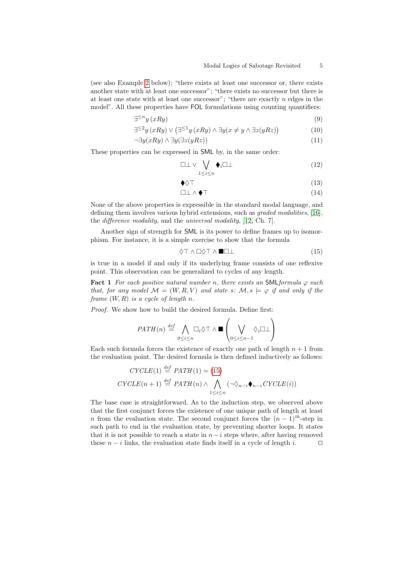(see also Example [2](#page-10-0) below); "there exists at least one successor or, there exists another state with at least one successor"; "there exists no successor but there is at least one state with at least one successor"; "there are exactly  $n$  edges in the model". All these properties have FOL formulations using counting quantifiers:

$$
\exists^{\leq n} y \, (xRy) \tag{9}
$$

$$
\exists^{\leq 2} y \left( xRy \right) \vee \left( \exists^{\leq 1} y \left( xRy \right) \wedge \exists y \left( x \neq y \wedge \exists z \left( yRz \right) \right) \right) \tag{10}
$$

$$
\neg \exists y (xRy) \land \exists y (\exists z (yRz))
$$
\n
$$
(11)
$$

These properties can be expressed in SML by, in the same order:

$$
\Box \bot \vee \bigvee_{1 \leq i \leq n} \blacklozenge_i \Box \bot \tag{12}
$$

$$
\blacklozenge \lozenge \top \tag{13}
$$

$$
\Box \bot \wedge \blacklozenge \top \tag{14}
$$

None of the above properties is expressible in the standard modal language, and defining them involves various hybrid extensions, such as graded modalities, [\[16\]](#page-31-10), the difference modality, and the universal modality, [\[12,](#page-30-6) Ch. 7].

Another sign of strength for SML is its power to define frames up to isomorphism. For instance, it is a simple exercise to show that the formula

<span id="page-4-0"></span>
$$
\Diamond \top \land \Box \Diamond \top \land \blacksquare \Box \bot \tag{15}
$$

is true in a model if and only if its underlying frame consists of one reflexive point. This observation can be generalized to cycles of any length.

**Fact 1** For each positive natural number n, there exists an SML formula  $\varphi$  such that, for any model  $\mathcal{M} = (W, R, V)$  and state s:  $\mathcal{M}, s \models \varphi$  if and only if the frame  $(W, R)$  is a cycle of length n.

Proof. We show how to build the desired formula. Define first:

$$
PATH(n) \stackrel{def}{=} \bigwedge_{0 \le i \le n} \Box_i \Diamond \top \land \blacksquare \left(\bigvee_{0 \le i \le n-1} \Diamond_i \Box \bot \right)
$$

Each such formula forces the existence of exactly one path of length  $n + 1$  from the evaluation point. The desired formula is then defined inductively as follows:

$$
CYCLE(1) \stackrel{def}{=} PATH(1) = (15)
$$
  
\n
$$
CYCLE(n+1) \stackrel{def}{=} PATH(n) \land \bigwedge_{1 \leq i \leq n} (\neg \Diamond_{n-i} \blacklozenge_{n-i} CYCLE(i))
$$

The base case is straightforward. As to the induction step, we observed above that the first conjunct forces the existence of one unique path of length at least n from the evaluation state. The second conjunct forces the  $(n-1)$ <sup>th</sup>-step in such path to end in the evaluation state, by preventing shorter loops. It states that it is not possible to reach a state in  $n-i$  steps where, after having removed these  $n - i$  links, the evaluation state finds itself in a cycle of length i.  $\Box$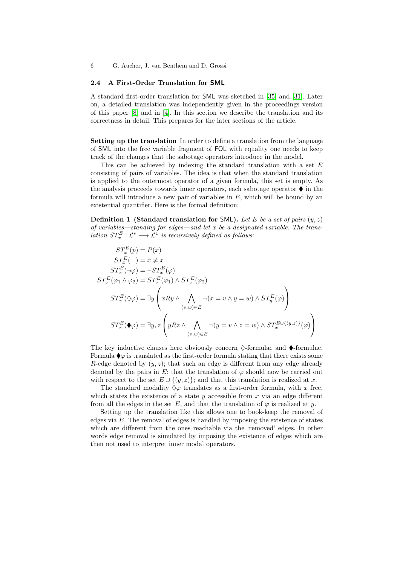### 2.4 A First-Order Translation for SML

A standard first-order translation for SML was sketched in [\[35\]](#page-32-0) and [\[31\]](#page-31-7). Later on, a detailed translation was independently given in the proceedings version of this paper [\[8\]](#page-30-3) and in [\[4\]](#page-30-4). In this section we describe the translation and its correctness in detail. This prepares for the later sections of the article.

Setting up the translation In order to define a translation from the language of SML into the free variable fragment of FOL with equality one needs to keep track of the changes that the sabotage operators introduce in the model.

This can be achieved by indexing the standard translation with a set  $E$ consisting of pairs of variables. The idea is that when the standard translation is applied to the outermost operator of a given formula, this set is empty. As the analysis proceeds towards inner operators, each sabotage operator  $\blacklozenge$  in the formula will introduce a new pair of variables in  $E$ , which will be bound by an existential quantifier. Here is the formal definition:

<span id="page-5-0"></span>**Definition 1 (Standard translation for SML).** Let E be a set of pairs  $(y, z)$ of variables—standing for edges—and let  $x$  be a designated variable. The translation  $ST_x^E : \mathcal{L}^s \longrightarrow \mathcal{L}^1$  is recursively defined as follows:

$$
ST_x^E(p) = P(x)
$$
  
\n
$$
ST_x^E(\bot) = x \neq x
$$
  
\n
$$
ST_x^E(\neg \varphi) = \neg ST_x^E(\varphi)
$$
  
\n
$$
ST_x^E(\varphi_1 \land \varphi_2) = ST_x^E(\varphi_1) \land ST_x^E(\varphi_2)
$$
  
\n
$$
ST_x^E(\Diamond \varphi) = \exists y \left( xRy \land \bigwedge_{(v,w) \in E} \neg(x = v \land y = w) \land ST_y^E(\varphi) \right)
$$
  
\n
$$
ST_x^E(\blacklozenge \varphi) = \exists y, z \left( yRz \land \bigwedge_{(v,w) \in E} \neg(y = v \land z = w) \land ST_x^{E \cup \{(y,z)\}}(\varphi) \right)
$$

The key inductive clauses here obviously concern  $\Diamond$ -formulae and  $\blacklozenge$ -formulae. Formula  $\blacklozenge \varphi$  is translated as the first-order formula stating that there exists some R-edge denoted by  $(y, z)$ ; that such an edge is different from any edge already denoted by the pairs in E; that the translation of  $\varphi$  should now be carried out with respect to the set  $E \cup \{(y, z)\}$ ; and that this translation is realized at x.

The standard modality  $\Diamond \varphi$  translates as a first-order formula, with x free, which states the existence of a state  $y$  accessible from  $x$  via an edge different from all the edges in the set E, and that the translation of  $\varphi$  is realized at y.

Setting up the translation like this allows one to book-keep the removal of edges via E. The removal of edges is handled by imposing the existence of states which are different from the ones reachable via the 'removed' edges. In other words edge removal is simulated by imposing the existence of edges which are then not used to interpret inner modal operators.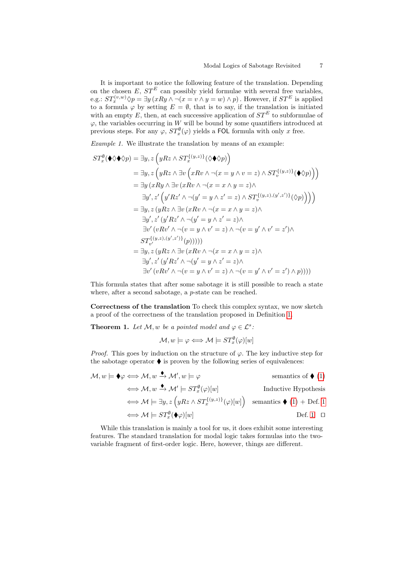It is important to notice the following feature of the translation. Depending on the chosen E,  $ST^E$  can possibly yield formulae with several free variables, e.g.:  $ST_x^{(v,w)} \Diamond p = \exists y \, (xRy \land \neg(x = v \land y = w) \land p)$ . However, if  $ST^E$  is applied to a formula  $\varphi$  by setting  $E = \emptyset$ , that is to say, if the translation is initiated with an empty E, then, at each successive application of  $ST^E$  to subformulae of  $\varphi$ , the variables occurring in W will be bound by some quantifiers introduced at previous steps. For any  $\varphi$ ,  $ST_x^{\emptyset}(\varphi)$  yields a FOL formula with only x free.

Example 1. We illustrate the translation by means of an example:

$$
ST_x^{\emptyset}(\blacklozenge \lozenge \lozenge p) = \exists y, z \left( yRz \land ST_x^{\{(y,z)\}}(\lozenge \lozenge p) \right)
$$
  
\n
$$
= \exists y, z \left( yRz \land \exists v \left( xRv \land \neg(x = y \land v = z) \land ST_v^{\{(y,z)\}}(\blacklozenge p) \right) \right)
$$
  
\n
$$
= \exists y \left( xRy \land \exists v \left( xRv \land \neg(x = x \land y = z) \land \right)
$$
  
\n
$$
\exists y', z' \left( y'Rz' \land \neg(y' = y \land z' = z) \land ST_v^{\{(y,z),(y',z')\}}(\lozenge p) \right) \right)
$$
  
\n
$$
= \exists y, z \left( yRz \land \exists v \left( xRv \land \neg(x = x \land y = z) \land \right)
$$
  
\n
$$
\exists y', z' \left( y'Rz' \land \neg(y' = y \land z' = z) \land \right)
$$
  
\n
$$
\exists v' \left( vRv' \land \neg(v = y \land v' = z) \land \neg(v = y' \land v' = z') \land \right)
$$
  
\n
$$
ST_{v'}^{\{(y,z),(y',z')\}}(p)))))
$$
  
\n
$$
= \exists y, z \left( yRz \land \exists v \left( xRv \land \neg(x = x \land y = z) \land \right)
$$
  
\n
$$
\exists y', z' \left( y'Rz' \land \neg(y' = y \land z' = z) \land \right)
$$
  
\n
$$
\exists v' \left( vRv' \land \neg(v = y \land v' = z) \land \neg(v = y' \land v' = z') \land p \right))))
$$

This formula states that after some sabotage it is still possible to reach a state where, after a second sabotage, a *p*-state can be reached.

Correctness of the translation To check this complex syntax, we now sketch a proof of the correctness of the translation proposed in Definition [1.](#page-5-0)

<span id="page-6-0"></span>**Theorem 1.** Let  $\mathcal{M}, w$  be a pointed model and  $\varphi \in \mathcal{L}^s$ .

$$
\mathcal{M}, w \models \varphi \Longleftrightarrow \mathcal{M} \models ST_x^{\emptyset}(\varphi)[w]
$$

*Proof.* This goes by induction on the structure of  $\varphi$ . The key inductive step for the sabotage operator  $\blacklozenge$  is proven by the following series of equivalences:

$$
\mathcal{M}, w \models \blacklozenge \iff \mathcal{M}, w \xrightarrow{\blacklozenge} \mathcal{M}', w \models \varphi \qquad \text{semantics of } \blacklozenge (1)
$$
\n
$$
\iff \mathcal{M}, w \xrightarrow{\blacklozenge} \mathcal{M}' \models ST_x^{\emptyset}(\varphi)[w] \qquad \text{Inductive Hypothesis}
$$
\n
$$
\iff \mathcal{M} \models \exists y, z \left( yRz \land ST_x^{\{(y,z)\}}(\varphi)[w] \right) \text{ semantics } \blacklozenge (1) + \text{Def. 1}
$$
\n
$$
\iff \mathcal{M} \models ST_x^{\emptyset}(\blacklozenge \varphi)[w] \qquad \text{Def. 1} \quad \Box
$$

While this translation is mainly a tool for us, it does exhibit some interesting features. The standard translation for modal logic takes formulas into the twovariable fragment of first-order logic. Here, however, things are different.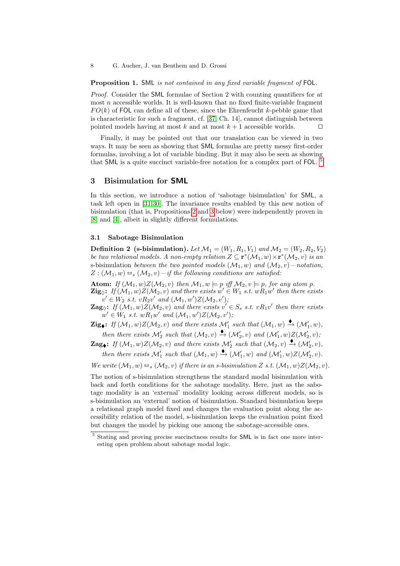Proposition 1. SML is not contained in any fixed variable fragment of FOL.

Proof. Consider the SML formulae of Section 2 with counting quantifiers for at most  $n$  accessible worlds. It is well-known that no fixed finite-variable fragment  $FO(k)$  of FOL can define all of these, since the Ehrenfeucht k-pebble game that is characteristic for such a fragment, cf. [\[37,](#page-32-3) Ch. 14], cannot distinguish between pointed models having at most k and at most  $k+1$  accessible worlds.  $\square$ 

Finally, it may be pointed out that our translation can be viewed in two ways. It may be seen as showing that SML formulas are pretty messy first-order formulas, involving a lot of variable binding. But it may also be seen as showing that SML is a quite succinct variable-free notation for a complex part of FOL.<sup>[5](#page-7-1)</sup>

### <span id="page-7-0"></span>3 Bisimulation for SML

In this section, we introduce a notion of 'sabotage bisimulation' for SML, a task left open in [\[31,](#page-31-7)[30\]](#page-31-8). The invariance results enabled by this new notion of bisimulation (that is, Propositions [2](#page-8-0) and [3](#page-8-1) below) were independently proven in [\[8\]](#page-30-3) and [\[4\]](#page-30-4), albeit in slightly different formulations.

### 3.1 Sabotage Bisimulation

<span id="page-7-2"></span>**Definition 2** (s-bisimulation). Let  $\mathcal{M}_1 = (W_1, R_1, V_1)$  and  $\mathcal{M}_2 = (W_2, R_2, V_2)$ be two relational models. A non-empty relation  $Z \subseteq \mathbf{r}^*(\mathcal{M}_1, w) \times \mathbf{r}^*(\mathcal{M}_2, v)$  is an s-bisimulation between the two pointed models  $(\mathcal{M}_1, w)$  and  $(\mathcal{M}_2, v)$ —notation,  $Z: (\mathcal{M}_1, w) \triangleq_s (\mathcal{M}_2, v) - if$  the following conditions are satisfied:

Atom: If  $(M_1, w)Z(M_2, v)$  then  $M_1, w \models p$  iff  $M_2, v \models p$ , for any atom p.  $\mathbf{Zig}_{\Diamond}\colon\thinspace H(\mathcal{M}_1,w)Z(\mathcal{M}_2,v)$  and there exists  $w'\in W_1$  s.t.  $wR_1w'$  then there exists  $v' \in W_2$  s.t.  $vR_2v'$  and  $(\mathcal{M}_1, w')Z(\mathcal{M}_2, v')$ ;

**Zag** $\Diamond$ : If  $(\mathcal{M}_1, w)Z(\mathcal{M}_2, v)$  and there exists  $v' \in S_s$  s.t.  $vR_1v'$  then there exists  $w' \in W_1$  s.t.  $wR_1w'$  and  $(\mathcal{M}_1, w')Z(\mathcal{M}_2, v')$ ;

 $\mathbf{Zig}_{\blacklozenge}:$  If  $(\mathcal{M}_1, w)Z(\mathcal{M}_2, v)$  and there exists  $\mathcal{M}'_1$  such that  $(\mathcal{M}_1, w) \triangleq (\mathcal{M}'_1, w)$ , then there exists  $\mathcal{M}'_2$  such that  $(\mathcal{M}_2, v) \stackrel{\blacklozenge}{\rightarrow} (\mathcal{M}'_2, v)$  and  $(\mathcal{M}'_1, w)Z(\mathcal{M}'_2, v)$ ;

**Zag**: If  $(M_1, w)Z(M_2, v)$  and there exists  $M'_2$  such that  $(M_2, v) \rightarrow (M'_2, v)$ , then there exists  $\mathcal{M}'_1$  such that  $(\mathcal{M}_1, w) \xrightarrow{\blacklozenge} (\mathcal{M}'_1, w)$  and  $(\mathcal{M}'_1, w)Z(\mathcal{M}'_2, v)$ .

We write  $(\mathcal{M}_1, w) \triangleq_s (\mathcal{M}_2, v)$  if there is an s-bisimulation Z s.t.  $(\mathcal{M}_1, w)Z(\mathcal{M}_2, v)$ .

The notion of s-bisimulation strengthens the standard modal bisimulation with back and forth conditions for the sabotage modality. Here, just as the sabotage modality is an 'external' modality looking across different models, so is s-bisimulation an 'external' notion of bisimulation. Standard bisimulation keeps a relational graph model fixed and changes the evaluation point along the accessibility relation of the model, s-bisimulation keeps the evaluation point fixed but changes the model by picking one among the sabotage-accessible ones.

<span id="page-7-1"></span><sup>&</sup>lt;sup>5</sup> Stating and proving precise succinctness results for **SML** is in fact one more interesting open problem about sabotage modal logic.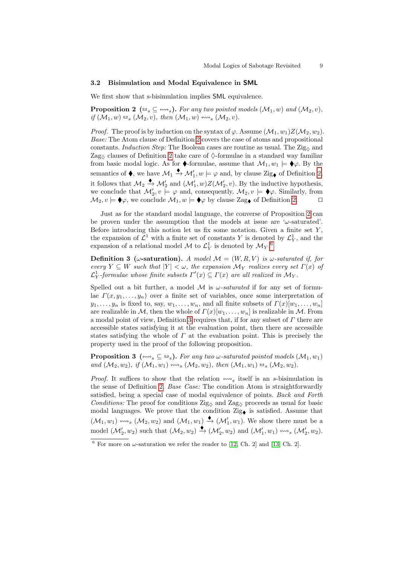### 3.2 Bisimulation and Modal Equivalence in SML

<span id="page-8-0"></span>We first show that s-bisimulation implies SML equivalence.

**Proposition 2** ( $\Rightarrow$ <sub>s</sub>  $\subseteq$   $\leftrightarrow$ <sub>s</sub>). For any two pointed models ( $\mathcal{M}_1, w$ ) and ( $\mathcal{M}_2, v$ ), if  $(\mathcal{M}_1, w) \triangleq_s (\mathcal{M}_2, v)$ , then  $(\mathcal{M}_1, w) \leftrightarrow_s (\mathcal{M}_2, v)$ .

*Proof.* The proof is by induction on the syntax of  $\varphi$ . Assume  $(\mathcal{M}_1, w_1)Z(\mathcal{M}_2, w_2)$ . Base: The Atom clause of Definition [2](#page-7-2) covers the case of atoms and propositional constants. Induction Step: The Boolean cases are routine as usual. The  $\text{Zig}_{\Diamond}$  and Zag<sub> $\Diamond$ </sub> clauses of Definition [2](#page-7-2) take care of  $\Diamond$ -formulae in a standard way familiar from basic modal logic. As for  $\blacklozenge$ -formulae, assume that  $\mathcal{M}_1, w_1 \models \blacklozenge \varphi$ . By the semantics of  $\blacklozenge$ , we have  $\mathcal{M}_1 \stackrel{\blacklozenge}{\to} \mathcal{M}'_1, w \models \varphi$  and, by clause Zig $\blacklozenge$  of Definition [2,](#page-7-2) it follows that  $\mathcal{M}_2 \xrightarrow{\blacklozenge} \mathcal{M}'_2$  and  $(\mathcal{M}'_1, w)Z(\mathcal{M}'_2, v)$ . By the inductive hypothesis, we conclude that  $\mathcal{M}'_2, v \models \varphi$  and, consequently,  $\mathcal{M}_2, v \models \blacklozenge \varphi$ . Similarly, from  $\mathcal{M}_2, v \models \blacklozenge \varphi$ , we conclude  $\mathcal{M}_1, w \models \blacklozenge \varphi$  by clause Zag of Definition [2.](#page-7-2)

Just as for the standard modal language, the converse of Proposition [2](#page-8-0) can be proven under the assumption that the models at issue are  $\omega$ -saturated'. Before introducing this notion let us fix some notation. Given a finite set  $Y$ , the expansion of  $\mathcal{L}^1$  with a finite set of constants Y is denoted by  $\mathcal{L}_Y^1$ , and the expansion of a relational model  $\mathcal{M}$  to  $\mathcal{L}_Y^1$  is denoted by  $\mathcal{M}_Y$ .<sup>[6](#page-8-2)</sup>

<span id="page-8-3"></span>**Definition 3** ( $\omega$ -saturation). A model  $\mathcal{M} = (W, R, V)$  is  $\omega$ -saturated if, for every  $Y \subseteq W$  such that  $|Y| < \omega$ , the expansion  $\mathcal{M}_Y$  realizes every set  $\Gamma(x)$  of  $\mathcal{L}_Y^1$ -formulae whose finite subsets  $\Gamma'(x) \subseteq \Gamma(x)$  are all realized in  $\mathcal{M}_Y$ .

Spelled out a bit further, a model  $M$  is  $\omega$ -saturated if for any set of formulae  $\Gamma(x, y_1, \ldots, y_n)$  over a finite set of variables, once some interpretation of  $y_1, \ldots, y_n$  is fixed to, say,  $w_1, \ldots, w_n$ , and all finite subsets of  $\Gamma(x)[w_1, \ldots, w_n]$ are realizable in M, then the whole of  $\Gamma(x)[w_1, \ldots, w_n]$  is realizable in M. From a modal point of view, Definition [3](#page-8-3) requires that, if for any subset of  $\Gamma$  there are accessible states satisfying it at the evaluation point, then there are accessible states satisfying the whole of  $\Gamma$  at the evaluation point. This is precisely the property used in the proof of the following proposition.

<span id="page-8-1"></span>**Proposition 3** ( $\leftrightarrow$ <sub>s</sub>  $\subseteq \Leftrightarrow$ ). For any two  $\omega$ -saturated pointed models ( $\mathcal{M}_1, w_1$ ) and  $(\mathcal{M}_2, w_2)$ , if  $(\mathcal{M}_1, w_1) \leftrightarrow_s (\mathcal{M}_2, w_2)$ , then  $(\mathcal{M}_1, w_1) \leftrightarrow_s (\mathcal{M}_2, w_2)$ .

*Proof.* It suffices to show that the relation  $\forall x$  itself is an s-bisimulation in the sense of Definition [2.](#page-7-2) Base Case: The condition Atom is straightforwardly satisfied, being a special case of modal equivalence of points. Back and Forth Conditions: The proof for conditions  $\text{Zig}_{\Diamond}$  and  $\text{Zag}_{\Diamond}$  proceeds as usual for basic modal languages. We prove that the condition  $\mathrm{Zig}_{\blacklozenge}$  is satisfied. Assume that  $(\mathcal{M}_1, w_1) \leftrightarrow_s (\mathcal{M}_2, w_2)$  and  $(\mathcal{M}_1, w_1) \stackrel{\blacklozenge}{\rightarrow} (\mathcal{M}'_1, w_1)$ . We show there must be a model  $(\mathcal{M}'_2, w_2)$  such that  $(\mathcal{M}_2, w_2) \xrightarrow{\blacklozenge} (\mathcal{M}'_2, w_2)$  and  $(\mathcal{M}'_1, w_1) \rightsquigarrow_s (\mathcal{M}'_2, w_2)$ .

<span id="page-8-2"></span><sup>&</sup>lt;sup>6</sup> For more on  $\omega$ -saturation we refer the reader to [\[12,](#page-30-6) Ch. 2] and [\[13,](#page-30-7) Ch. 2].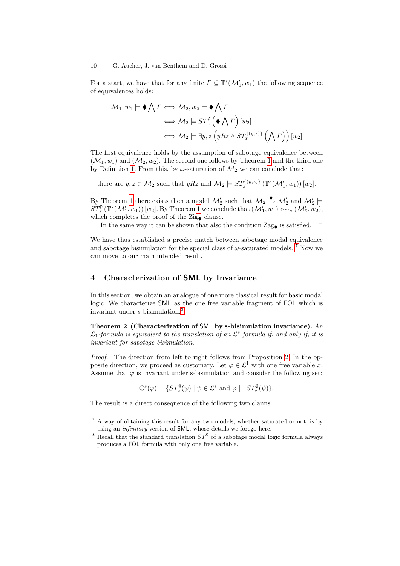For a start, we have that for any finite  $\Gamma \subseteq \mathbb{T}^s(\mathcal{M}'_1, w_1)$  the following sequence of equivalences holds:

$$
\mathcal{M}_1, w_1 \models \blacklozenge \bigwedge \Gamma \Longleftrightarrow \mathcal{M}_2, w_2 \models \blacklozenge \bigwedge \Gamma
$$
  

$$
\Longleftrightarrow \mathcal{M}_2 \models ST_x^{\emptyset} \left( \blacklozenge \bigwedge \Gamma \right) [w_2]
$$
  

$$
\Longleftrightarrow \mathcal{M}_2 \models \exists y, z \left( yRz \land ST_x^{\{ (y,z) \}} \left( \bigwedge \Gamma \right) \right) [w_2]
$$

The first equivalence holds by the assumption of sabotage equivalence between  $(\mathcal{M}_1, w_1)$  and  $(\mathcal{M}_2, w_2)$ . The second one follows by Theorem [1](#page-6-0) and the third one by Definition [1.](#page-5-0) From this, by  $\omega$ -saturation of  $\mathcal{M}_2$  we can conclude that:

there are  $y, z \in M_2$  such that  $yRz$  and  $M_2 \models ST_x^{\{(y,z)\}}(\mathbb{T}^s(\mathcal{M}'_1, w_1)) [w_2]$ .

By Theorem [1](#page-6-0) there exists then a model  $\mathcal{M}'_2$  such that  $\mathcal{M}_2 \triangleq \mathcal{M}'_2$  and  $\mathcal{M}'_2 \models$  $ST_x^{\emptyset}(\mathbb{T}^s(\mathcal{M}'_1, w_1)) [w_2]$ . By Theorem [1](#page-6-0) we conclude that  $(\mathcal{M}'_1, w_1) \stackrel{\sim}{\leadsto} \mathcal{M}'_2, w_2$ , which completes the proof of the Zig $\bullet$  clause.

In the same way it can be shown that also the condition  $\text{Zag}_{\blacklozenge}$  is satisfied.  $\Box$ 

We have thus established a precise match between sabotage modal equivalence and sabotage bisimulation for the special class of  $\omega$ -saturated models. <sup>[7](#page-9-1)</sup> Now we can move to our main intended result.

## <span id="page-9-0"></span>4 Characterization of SML by Invariance

In this section, we obtain an analogue of one more classical result for basic modal logic. We characterize SML as the one free variable fragment of FOL which is invariant under s-bisimulation.<sup>[8](#page-9-2)</sup>

<span id="page-9-3"></span>Theorem 2 (Characterization of SML by s-bisimulation invariance).  $An$  $\mathcal{L}_1$ -formula is equivalent to the translation of an  $\mathcal{L}^s$  formula if, and only if, it is invariant for sabotage bisimulation.

Proof. The direction from left to right follows from Proposition [2.](#page-8-0) In the opposite direction, we proceed as customary. Let  $\varphi \in \mathcal{L}^1$  with one free variable x. Assume that  $\varphi$  is invariant under s-bisimulation and consider the following set:

$$
\mathbb{C}^{s}(\varphi) = \{ST_x^{\emptyset}(\psi) \mid \psi \in \mathcal{L}^s \text{ and } \varphi \models ST_x^{\emptyset}(\psi) \}.
$$

The result is a direct consequence of the following two claims:

<span id="page-9-1"></span><sup>&</sup>lt;sup>7</sup> A way of obtaining this result for any two models, whether saturated or not, is by using an infinitary version of SML, whose details we forego here.

<span id="page-9-2"></span><sup>&</sup>lt;sup>8</sup> Recall that the standard translation  $ST^{\emptyset}$  of a sabotage modal logic formula always produces a FOL formula with only one free variable.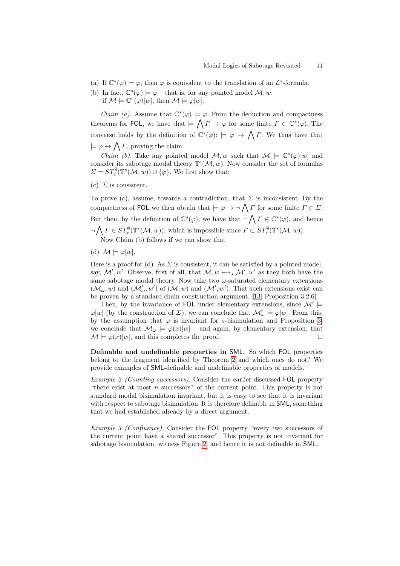- (a) If  $\mathbb{C}^s(\varphi) \models \varphi$ , then  $\varphi$  is equivalent to the translation of an  $\mathcal{L}^s$ -formula.
- (b) In fact,  $\mathbb{C}^s(\varphi) \models \varphi$  that is, for any pointed model  $\mathcal{M}, w$ :
- if  $\mathcal{M} \models \mathbb{C}^s(\varphi)[w],$  then  $\mathcal{M} \models \varphi[w].$

*Claim (a).* Assume that  $\mathbb{C}^s(\varphi) \models \varphi$ . From the deduction and compactness theorems for FOL, we have that  $\models \bigwedge \Gamma \to \varphi$  for some finite  $\Gamma \subset \mathbb{C}^s(\varphi)$ . The converse holds by the definition of  $\mathbb{C}^s(\varphi)$ :  $\models \varphi \to \bigwedge \Gamma$ . We thus have that  $\models \varphi \leftrightarrow \bigwedge \varGamma$ , proving the claim.

*Claim (b)*. Take any pointed model  $\mathcal{M}, w$  such that  $\mathcal{M} \models \mathbb{C}^s(\varphi)[w]$  and consider its sabotage modal theory  $\mathbb{T}^{s}(\mathcal{M}, w)$ . Now consider the set of formulas  $\Sigma = ST_x^{\emptyset}(\mathbb{T}^s(\mathcal{M}, w)) \cup {\varphi}.$  We first show that:

(c)  $\Sigma$  is consistent.

To prove (c), assume, towards a contradiction, that  $\Sigma$  is inconsistent. By the compactness of FOL we then obtain that  $\models \varphi \rightarrow \neg \bigwedge \Gamma$  for some finite  $\Gamma \in \Sigma$ . But then, by the definition of  $\mathbb{C}^s(\varphi)$ , we have that  $\neg \bigwedge \Gamma \in \mathbb{C}^s(\varphi)$ , and hence  $\neg \bigwedge \Gamma \in ST_x^{\emptyset}(\mathbb{T}^s(\mathcal{M}, w)),$  which is impossible since  $\Gamma \subset ST_x^{\emptyset}(\mathbb{T}^s(\mathcal{M}, w)).$ Now Claim (b) follows if we can show that

(d)  $\mathcal{M} \models \varphi[w]$ .

Here is a proof for (d). As  $\Sigma$  is consistent, it can be satisfied by a pointed model, say,  $\mathcal{M}'$ , w'. Observe, first of all, that  $\mathcal{M}, w \leftrightarrow s$ ,  $\mathcal{M}', w'$  as they both have the same sabotage modal theory. Now take two  $\omega$ -saturated elementary extensions  $(\mathcal{M}_{\omega}, w)$  and  $(\mathcal{M}'_{\omega}, w')$  of  $(\mathcal{M}, w)$  and  $(\mathcal{M}', w')$ . That such extensions exist can be proven by a standard chain construction argument, [\[13,](#page-30-7) Proposition 3.2.6].

Then, by the invariance of FOL under elementary extensions, since  $\mathcal{M}'$  $\varphi[w]$  (by the construction of  $\Sigma$ ), we can conclude that  $\mathcal{M}'_{\omega} \models \varphi[w]$ . From this, by the assumption that  $\varphi$  is invariant for s-bisimulation and Proposition [3,](#page-8-1) we conclude that  $\mathcal{M}_{\omega} \models \varphi(x)[w]$  – and again, by elementary extension, that  $\mathcal{M} \models \varphi(x)[w]$ , and this completes the proof.

<span id="page-10-0"></span>Definable and undefinable properties in SML. So which FOL properties belong to the fragment identified by Theorem [2](#page-9-3) and which ones do not? We provide examples of SML-definable and undefinable properties of models.

Example 2 (Counting successors). Consider the earlier-discussed FOL property "there exist at most  $n$  successors" of the current point. This property is not standard modal bisimulation invariant, but it is easy to see that it is invariant with respect to sabotage bisimulation. It is therefore definable in **SML**, something that we had established already by a direct argument.

Example 3 (Confluence). Consider the FOL property "every two successors of the current point have a shared successor". This property is not invariant for sabotage bisimulation, witness Figure [2,](#page-11-0) and hence it is not definable in SML.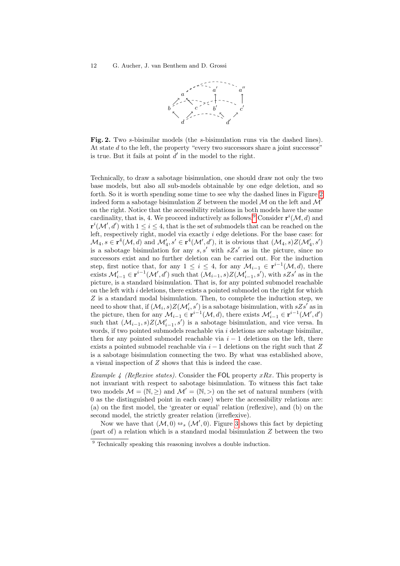

<span id="page-11-0"></span>Fig. 2. Two s-bisimilar models (the s-bisimulation runs via the dashed lines). At state  $d$  to the left, the property "every two successors share a joint successor" is true. But it fails at point  $d'$  in the model to the right.

Technically, to draw a sabotage bisimulation, one should draw not only the two base models, but also all sub-models obtainable by one edge deletion, and so forth. So it is worth spending some time to see why the dashed lines in Figure [2](#page-11-0) indeed form a sabotage bisimulation Z between the model M on the left and  $\mathcal{M}'$ on the right. Notice that the accessibility relations in both models have the same cardinality, that is, 4. We proceed inductively as follows.<sup>[9](#page-11-1)</sup> Consider  $\mathbf{r}^{i}(\mathcal{M}, d)$  and  $\mathbf{r}^{i}(\mathcal{M}', d')$  with  $1 \leq i \leq 4$ , that is the set of submodels that can be reached on the left, respectively right, model via exactly i edge deletions. For the base case: for  $\mathcal{M}_4, s \in \mathbf{r}^4(\mathcal{M}, d)$  and  $\mathcal{M}'_4, s' \in \mathbf{r}^4(\mathcal{M}', d')$ , it is obvious that  $(\mathcal{M}_4, s)Z(\mathcal{M}'_4, s')$ is a sabotage bisimulation for any  $s, s'$  with  $sZs'$  as in the picture, since no successors exist and no further deletion can be carried out. For the induction step, first notice that, for any  $1 \leq i \leq 4$ , for any  $\mathcal{M}_{i-1} \in \mathbf{r}^{i-1}(\mathcal{M}, d)$ , there exists  $\mathcal{M}'_{i-1} \in \mathbf{r}^{i-1}(\mathcal{M}', d')$  such that  $(\mathcal{M}_{i-1}, s)Z(\mathcal{M}'_{i-1}, s')$ , with  $sZs'$  as in the picture, is a standard bisimulation. That is, for any pointed submodel reachable on the left with  $i$  deletions, there exists a pointed submodel on the right for which  $Z$  is a standard modal bisimulation. Then, to complete the induction step, we need to show that, if  $(\mathcal{M}_i, s)Z(\mathcal{M}'_i, s')$  is a sabotage bisimulation, with  $sZs'$  as in the picture, then for any  $\mathcal{M}_{i-1} \in \mathbf{r}^{i-1}(\mathcal{M}, d)$ , there exists  $\mathcal{M}'_{i-1} \in \mathbf{r}^{i-1}(\mathcal{M}', d')$ such that  $(\mathcal{M}_{i-1}, s)Z(\mathcal{M}'_{i-1}, s')$  is a sabotage bisimulation, and vice versa. In words, if two pointed submodels reachable via  $i$  deletions are sabotage bisimilar, then for any pointed submodel reachable via  $i - 1$  deletions on the left, there exists a pointed submodel reachable via  $i - 1$  deletions on the right such that Z is a sabotage bisimulation connecting the two. By what was established above, a visual inspection of Z shows that this is indeed the case.

Example 4 (Reflexive states). Consider the FOL property  $xRx$ . This property is not invariant with respect to sabotage bisimulation. To witness this fact take two models  $\mathcal{M} = (\mathbb{N}, \geq)$  and  $\mathcal{M}' = (\mathbb{N}, \geq)$  on the set of natural numbers (with 0 as the distinguished point in each case) where the accessibility relations are: (a) on the first model, the 'greater or equal' relation (reflexive), and (b) on the second model, the strictly greater relation (irreflexive).

Now we have that  $(M, 0) \leftrightarrow_s (M', 0)$ . Figure [3](#page-12-1) shows this fact by depicting  $\tau$ , or relation which is a standard modal bisimulation  $\tau$  between the two (part of) a relation which is a standard modal bisimulation Z between the two

<span id="page-11-1"></span> $9$  Technically speaking this reasoning involves a double induction.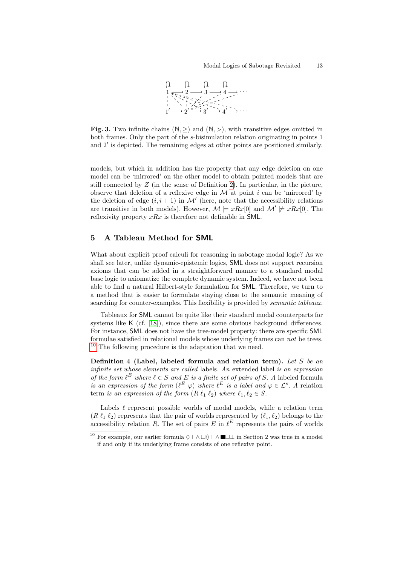

<span id="page-12-1"></span>Fig. 3. Two infinite chains  $(\mathbb{N}, \geq)$  and  $(\mathbb{N}, >)$ , with transitive edges omitted in both frames. Only the part of the s-bisimulation relation originating in points 1 and 2' is depicted. The remaining edges at other points are positioned similarly.

models, but which in addition has the property that any edge deletion on one model can be 'mirrored' on the other model to obtain pointed models that are still connected by  $Z$  (in the sense of Definition [2\)](#page-7-2). In particular, in the picture, observe that deletion of a reflexive edge in  $M$  at point i can be 'mirrored' by the deletion of edge  $(i, i + 1)$  in M' (here, note that the accessibility relations are transitive in both models). However,  $\mathcal{M} \models xRx[0]$  and  $\mathcal{M}' \not\models xRx[0]$ . The reflexivity property  $xRx$  is therefore not definable in SML.

### <span id="page-12-0"></span>5 A Tableau Method for SML

What about explicit proof calculi for reasoning in sabotage modal logic? As we shall see later, unlike dynamic-epistemic logics, SML does not support recursion axioms that can be added in a straightforward manner to a standard modal base logic to axiomatize the complete dynamic system. Indeed, we have not been able to find a natural Hilbert-style formulation for SML. Therefore, we turn to a method that is easier to formulate staying close to the semantic meaning of searching for counter-examples. This flexibility is provided by semantic tableaux.

Tableaux for SML cannot be quite like their standard modal counterparts for systems like K (cf. [\[18\]](#page-31-11)), since there are some obvious background differences. For instance, SML does not have the tree-model property: there are specific SML formulae satisfied in relational models whose underlying frames can not be trees. [10](#page-12-2) The following procedure is the adaptation that we need.

Definition 4 (Label, labeled formula and relation term). Let S be an infinite set whose elements are called labels. An extended label is an expression of the form  $\ell^E$  where  $\ell \in S$  and E is a finite set of pairs of S. A labeled formula is an expression of the form  $(\ell^E \varphi)$  where  $\ell^E$  is a label and  $\varphi \in \mathcal{L}^s$ . A relation term is an expression of the form  $(R \ell_1 \ell_2)$  where  $\ell_1, \ell_2 \in S$ .

Labels  $\ell$  represent possible worlds of modal models, while a relation term  $(R \ell_1 \ell_2)$  represents that the pair of worlds represented by  $(\ell_1, \ell_2)$  belongs to the accessibility relation R. The set of pairs E in  $\ell^E$  represents the pairs of worlds

<span id="page-12-2"></span><sup>&</sup>lt;sup>10</sup> For example, our earlier formula  $\Diamond \top \land \Box \Diamond \top \land \blacksquare \Box \bot$  in Section 2 was true in a model if and only if its underlying frame consists of one reflexive point.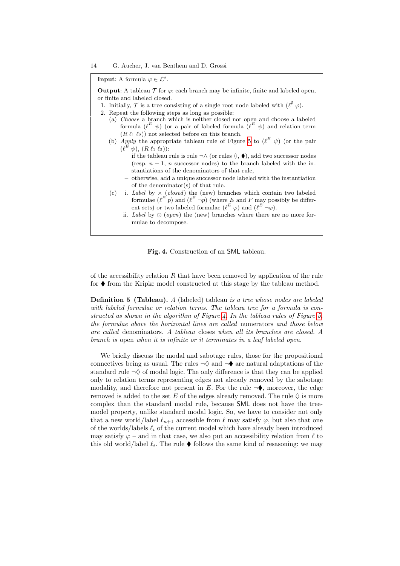**Input:** A formula  $\varphi \in \mathcal{L}^s$ .

**Output:** A tableau  $\mathcal T$  for  $\varphi$ : each branch may be infinite, finite and labeled open, or finite and labeled closed.

- 1. Initially,  $\mathcal T$  is a tree consisting of a single root node labeled with  $(\ell^{\emptyset} \varphi)$ .
- 2. Repeat the following steps as long as possible:
	- (a) Choose a branch which is neither closed nor open and choose a labeled formula  $(\ell^E \psi)$  (or a pair of labeled formula  $(\ell^E \psi)$  and relation term  $(R \ell_1 \ell_2)$  not selected before on this branch.
	- (b) *Apply* the appropriate tableau rule of Figure [5](#page-14-0) to  $(\ell^E \psi)$  (or the pair  $(\ell^E \psi), (R \ell_1 \ell_2))$ :
		- if the tableau rule is rule ¬∧ (or rules  $\Diamond$ , ♦), add two successor nodes (resp.  $n + 1$ , n successor nodes) to the branch labeled with the instantiations of the denominators of that rule,
			- otherwise, add a unique successor node labeled with the instantiation of the denominator(s) of that rule.
	- (c) i. Label by  $\times$  (closed) the (new) branches which contain two labeled formulae  $(\ell^E p)$  and  $(\ell^F \neg p)$  (where E and F may possibly be different sets) or two labeled formulae  $(\ell^E \varphi)$  and  $(\ell^E \neg \varphi)$ .
		- ii. Label by  $\odot$  (open) the (new) branches where there are no more formulae to decompose.

<span id="page-13-0"></span>Fig. 4. Construction of an SML tableau.

of the accessibility relation  $R$  that have been removed by application of the rule for  $\blacklozenge$  from the Kripke model constructed at this stage by the tableau method.

**Definition 5 (Tableau).** A (labeled) tableau is a tree whose nodes are labeled with labeled formulae or relation terms. The tableau tree for a formula is con-structed as shown in the algorithm of Figure [4.](#page-13-0) In the tableau rules of Figure [5,](#page-14-0) the formulae above the horizontal lines are called numerators and those below are called denominators. A tableau closes when all its branches are closed. A branch is open when it is infinite or it terminates in a leaf labeled open.

We briefly discuss the modal and sabotage rules, those for the propositional connectives being as usual. The rules  $\neg \Diamond$  and  $\neg \blacklozenge$  are natural adaptations of the standard rule  $\neg \Diamond$  of modal logic. The only difference is that they can be applied only to relation terms representing edges not already removed by the sabotage modality, and therefore not present in E. For the rule  $\neg$ , moreover, the edge removed is added to the set E of the edges already removed. The rule  $\Diamond$  is more complex than the standard modal rule, because SML does not have the treemodel property, unlike standard modal logic. So, we have to consider not only that a new world/label  $\ell_{n+1}$  accessible from  $\ell$  may satisfy  $\varphi$ , but also that one of the worlds/labels  $\ell_i$  of the current model which have already been introduced may satisfy  $\varphi$  – and in that case, we also put an accessibility relation from  $\ell$  to this old world/label  $\ell_i$ . The rule  $\blacklozenge$  follows the same kind of resasoning: we may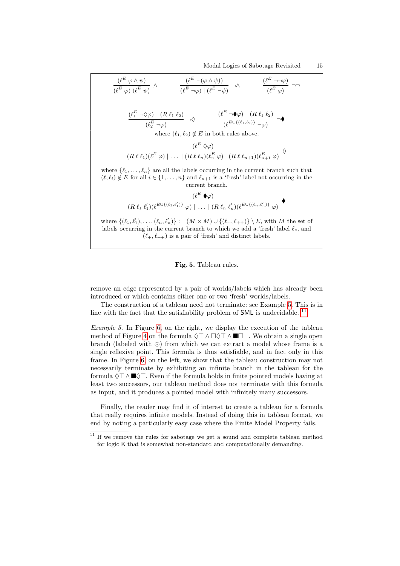$$
\frac{(\ell^E \varphi \wedge \psi)}{(\ell^E \varphi)(\ell^E \psi)} \wedge \frac{(\ell^E \neg (\varphi \wedge \psi))}{(\ell^E \neg \varphi) | (\ell^E \neg \psi)} \neg \wedge \frac{(\ell^E \neg \neg \varphi)}{(\ell^E \varphi)} \neg \wedge
$$
\n
$$
\frac{(\ell_1^E \neg \Diamond \varphi) (\ell_1 \ell_1 \ell_2)}{(\ell_2^E \neg \varphi)} \neg \Diamond \frac{(\ell^E \neg \blacklozenge \varphi) (\ell_1 \ell_1 \ell_2)}{(\ell^E \psi \{(\ell_1, \ell_2)\}} \neg \varphi)} \neg \blacklozenge
$$
\nwhere  $(\ell_1, \ell_2) \notin E$  in both rules above.\n
$$
\frac{(\ell^E \Diamond \varphi)}{(\ell^E \Diamond \varphi)}
$$
\nwhere  $\{\ell_1, \ldots, \ell_n\}$  are all the labels occurring in the current branch such that  $(\ell, \ell_i) \notin E$  for all  $i \in \{1, \ldots, n\}$  and  $\ell_{n+1}$  is a ' fresh' label not occurring in the current branch.\n
$$
\frac{(\ell^E \blacklozenge \varphi)}{(\ell_1 \ell_1)(\ell^E \psi \{(\ell_1, \ell'_1)\}} \varphi) | \ldots |(\ell_1 \ell_n \ell'_n)(\ell^E \psi \{(\ell_n, \ell'_n)\}} \varphi)
$$
\nwhere  $\{(\ell_1, \ell'_1), (\ell^E \cup \{(\ell_1, \ell'_1)\}} \varphi) | \ldots |(\ell_1 \ell_n \ell'_n)(\ell^E \cup \{(\ell_n, \ell'_n)\}} \varphi)$ \nwhere  $\{(\ell_1, \ell'_1), \ldots, (\ell_n, \ell'_n)\} := (M \times M) \cup \{(\ell_1, \ell_{n+1})\} \setminus E$ , with  $M$  the set of labels occurring in the current branch to which we add a 'fresh' label  $\ell_*$ , and  $(\ell_+, \ell_{++})$  is a pair of ' fresh' and distinct labels.

<span id="page-14-0"></span>

remove an edge represented by a pair of worlds/labels which has already been introduced or which contains either one or two 'fresh' worlds/labels.

The construction of a tableau need not terminate: see Example [5.](#page-14-1) This is in line with the fact that the satisfiability problem of  $SML$  is undecidable. <sup>[11](#page-14-2)</sup>

<span id="page-14-1"></span>Example 5. In Figure [6,](#page-15-0) on the right, we display the execution of the tableau method of Figure [4](#page-13-0) on the formula  $\Diamond \top \land \Box \Diamond \top \land \blacksquare \Box \bot$ . We obtain a single open branch (labeled with  $\odot$ ) from which we can extract a model whose frame is a single reflexive point. This formula is thus satisfiable, and in fact only in this frame. In Figure [6,](#page-15-0) on the left, we show that the tableau construction may not necessarily terminate by exhibiting an infinite branch in the tableau for the formula  $\Diamond \top \wedge \blacksquare \Diamond \top$ . Even if the formula holds in finite pointed models having at least two successors, our tableau method does not terminate with this formula as input, and it produces a pointed model with infinitely many successors.

Finally, the reader may find it of interest to create a tableau for a formula that really requires infinite models. Instead of doing this in tableau format, we end by noting a particularly easy case where the Finite Model Property fails.

<span id="page-14-2"></span> $^\mathrm{11}$  If we remove the rules for sabotage we get a sound and complete tableau method for logic K that is somewhat non-standard and computationally demanding.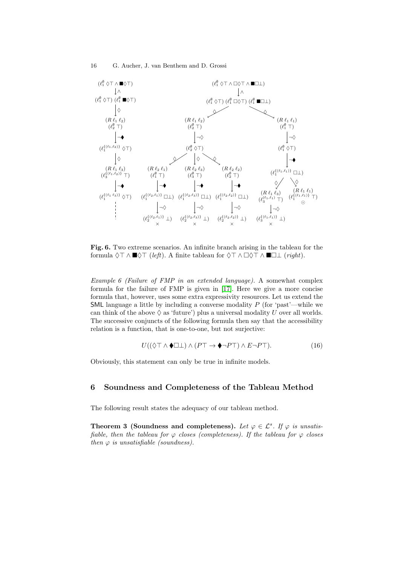

<span id="page-15-0"></span>Fig. 6. Two extreme scenarios. An infinite branch arising in the tableau for the formula  $\Diamond \top \wedge \blacksquare \Diamond \top$  (*left*). A finite tableau for  $\Diamond \top \wedge \square \Diamond \top \wedge \blacksquare \square \bot$  (*right*).

Example 6 (Failure of FMP in an extended language). A somewhat complex formula for the failure of FMP is given in [\[17\]](#page-31-12). Here we give a more concise formula that, however, uses some extra expressivity resources. Let us extend the **SML** language a little by including a converse modality  $P$  (for 'past'—while we can think of the above  $\Diamond$  as 'future') plus a universal modality U over all worlds. The successive conjuncts of the following formula then say that the accessibility relation is a function, that is one-to-one, but not surjective:

$$
U((\Diamond \top \land \blacklozenge \Box \bot) \land (P\top \to \blacklozenge \neg P\top) \land E \neg P\top). \tag{16}
$$

Obviously, this statement can only be true in infinite models.

## 6 Soundness and Completeness of the Tableau Method

The following result states the adequacy of our tableau method.

Theorem 3 (Soundness and completeness). Let  $\varphi \in \mathcal{L}^s$ . If  $\varphi$  is unsatisfiable, then the tableau for  $\varphi$  closes (completeness). If the tableau for  $\varphi$  closes then  $\varphi$  is unsatisfiable (soundness).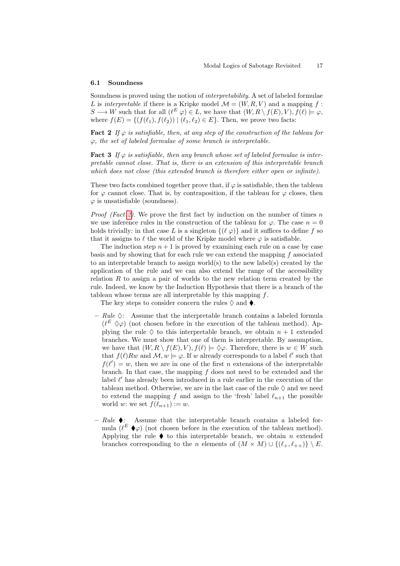#### 6.1 Soundness

Soundness is proved using the notion of interpretability. A set of labeled formulae L is *interpretable* if there is a Kripke model  $\mathcal{M} = (W, R, V)$  and a mapping f:  $S \longrightarrow W$  such that for all  $(\ell^E \varphi) \in L$ , we have that  $(W, R \setminus f(E), V), f(\ell) \models \varphi$ , where  $f(E) = \{ (f(\ell_1), f(\ell_2)) | (\ell_1, \ell_2) \in E \}$ . Then, we prove two facts:

<span id="page-16-0"></span>**Fact 2** If  $\varphi$  is satisfiable, then, at any step of the construction of the tableau for  $\varphi$ , the set of labeled formulae of some branch is interpretable.

<span id="page-16-1"></span>**Fact 3** If  $\varphi$  is satisfiable, then any branch whose set of labeled formulae is interpretable cannot close. That is, there is an extension of this interpretable branch which does not close (this extended branch is therefore either open or infinite).

These two facts combined together prove that, if  $\varphi$  is satisfiable, then the tableau for  $\varphi$  cannot close. That is, by contraposition, if the tableau for  $\varphi$  closes, then  $\varphi$  is unsatisfiable (soundness).

*Proof (Fact [2\)](#page-16-0).* We prove the first fact by induction on the number of times n we use inference rules in the construction of the tableau for  $\varphi$ . The case  $n = 0$ holds trivially: in that case L is a singleton  $\{(\ell \varphi)\}\$ and it suffices to define f so that it assigns to  $\ell$  the world of the Kripke model where  $\varphi$  is satisfiable.

The induction step  $n + 1$  is proved by examining each rule on a case by case basis and by showing that for each rule we can extend the mapping  $f$  associated to an interpretable branch to assign world(s) to the new label(s) created by the application of the rule and we can also extend the range of the accessibility relation  $R$  to assign a pair of worlds to the new relation term created by the rule. Indeed, we know by the Induction Hypothesis that there is a branch of the tableau whose terms are all interpretable by this mapping  $f$ .

The key steps to consider concern the rules  $\Diamond$  and  $\blacklozenge$ .

- $Rule \diamondsuit$ : Assume that the interpretable branch contains a labeled formula  $(\ell^E \diamond \varphi)$  (not chosen before in the execution of the tableau method). Applying the rule  $\diamondsuit$  to this interpretable branch, we obtain  $n + 1$  extended branches. We must show that one of them is interpretable. By assumption, we have that  $(W, R \setminus f(E), V), f(\ell) \models \Diamond \varphi$ . Therefore, there is  $w \in W$  such that  $f(\ell)Rw$  and  $\mathcal{M}, w \models \varphi$ . If w already corresponds to a label  $\ell'$  such that  $f(\ell') = w$ , then we are in one of the first n extensions of the interpretable branch. In that case, the mapping  $f$  does not need to be extended and the label  $\ell'$  has already been introduced in a rule earlier in the execution of the tableau method. Otherwise, we are in the last case of the rule  $\Diamond$  and we need to extend the mapping f and assign to the 'fresh' label  $\ell_{n+1}$  the possible world w: we set  $f(\ell_{n+1}) := w$ .
- $Rule \bullet$ : Assume that the interpretable branch contains a labeled formula  $(\ell^E \blacklozenge \varphi)$  (not chosen before in the execution of the tableau method). Applying the rule  $\blacklozenge$  to this interpretable branch, we obtain n extended branches corresponding to the *n* elements of  $(M \times M) \cup \{(\ell_+, \ell_{++})\} \setminus E$ .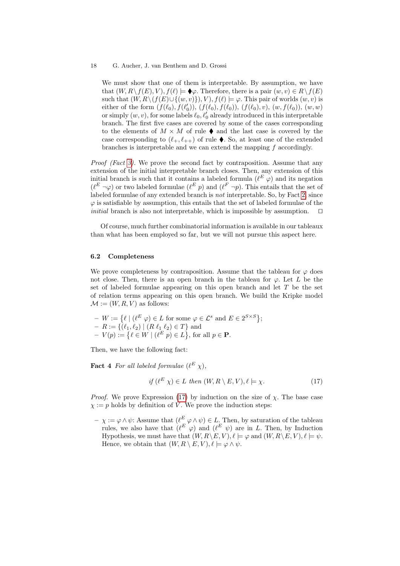We must show that one of them is interpretable. By assumption, we have that  $(W, R \setminus f(E), V), f(\ell) \models \blacklozenge \varphi$ . Therefore, there is a pair  $(w, v) \in R \setminus f(E)$ such that  $(W, R \setminus (f(E) \cup \{(w, v)\}), V), f(\ell) \models \varphi$ . This pair of worlds  $(w, v)$  is either of the form  $(f(\ell_0), f(\ell'_0)), (f(\ell_0), f(\ell_0)), (f(\ell_0), v), (w, f(\ell_0)), (w, w)$ or simply  $(w, v)$ , for some labels  $\ell_0, \ell'_0$  already introduced in this interpretable branch. The first five cases are covered by some of the cases corresponding to the elements of  $M \times M$  of rule  $\blacklozenge$  and the last case is covered by the case corresponding to  $(\ell_+, \ell_{++})$  of rule  $\blacklozenge$ . So, at least one of the extended branches is interpretable and we can extend the mapping f accordingly.

Proof (Fact [3\)](#page-16-1). We prove the second fact by contraposition. Assume that any extension of the initial interpretable branch closes. Then, any extension of this initial branch is such that it contains a labeled formula  $(\ell^E \varphi)$  and its negation  $(\ell^E \neg \varphi)$  or two labeled formulae  $(\ell^E p)$  and  $(\ell^F \neg p)$ . This entails that the set of labeled formulae of any extended branch is not interpretable. So, by Fact [2,](#page-16-0) since  $\varphi$  is satisfiable by assumption, this entails that the set of labeled formulae of the *initial* branch is also not interpretable, which is impossible by assumption.  $\Box$ 

Of course, much further combinatorial information is available in our tableaux than what has been employed so far, but we will not pursue this aspect here.

### 6.2 Completeness

We prove completeness by contraposition. Assume that the tableau for  $\varphi$  does not close. Then, there is an open branch in the tableau for  $\varphi$ . Let L be the set of labeled formulae appearing on this open branch and let  $T$  be the set of relation terms appearing on this open branch. We build the Kripke model  $\mathcal{M} := (W, R, V)$  as follows:

 $-V := \{ \ell \mid (\ell^E \varphi) \in L \text{ for some } \varphi \in \mathcal{L}^s \text{ and } E \in 2^{S \times S} \};$  $- R := \{(\ell_1, \ell_2) \mid (R \ell_1 \ell_2) \in T\}$  and  $-V(p) := \{ \ell \in W \mid (\ell^E p) \in L \}, \text{ for all } p \in \mathbf{P}.$ 

Then, we have the following fact:

**Fact 4** For all labeled formulae  $(\ell^E \chi)$ ,

<span id="page-17-0"></span>
$$
if \left(\ell^E \chi\right) \in L \ then \ (W, R \setminus E, V), \ell \models \chi. \tag{17}
$$

*Proof.* We prove Expression [\(17\)](#page-17-0) by induction on the size of  $\chi$ . The base case  $\chi := p$  holds by definition of V. We prove the induction steps:

 $-\chi := \varphi \wedge \psi$ : Assume that  $(\ell^E \varphi \wedge \psi) \in L$ . Then, by saturation of the tableau rules, we also have that  $(\ell^E \varphi)$  and  $(\ell^E \psi)$  are in L. Then, by Induction Hypothesis, we must have that  $(W, R \backslash E, V)$ ,  $\ell \models \varphi$  and  $(W, R \backslash E, V)$ ,  $\ell \models \psi$ . Hence, we obtain that  $(W, R \setminus E, V), \ell \models \varphi \land \psi$ .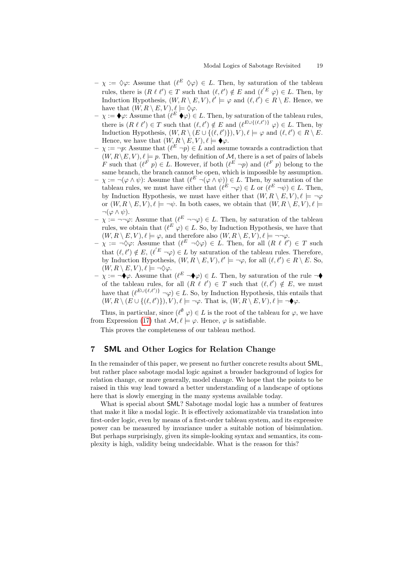- $-\chi := \Diamond \varphi$ : Assume that  $(\ell^E \Diamond \varphi) \in L$ . Then, by saturation of the tableau rules, there is  $(R \ell \ell') \in T$  such that  $(\ell, \ell') \notin E$  and  $(\ell'^E \varphi) \in L$ . Then, by Induction Hypothesis,  $(W, R \setminus E, V), \ell' \models \varphi$  and  $(\ell, \ell') \in R \setminus E$ . Hence, we have that  $(W, R \setminus E, V), \ell \models \Diamond \varphi$ .
- $-\chi := \bigotimes \varphi$ : Assume that  $(\ell^E \blacklozenge \varphi) \in L$ . Then, by saturation of the tableau rules, there is  $(R \ell \ell') \in T$  such that  $(\ell, \ell') \notin E$  and  $(\ell^{E \cup \{(\ell, \ell')\}} \varphi) \in L$ . Then, by Induction Hypothesis,  $(W, R \setminus (E \cup \{(\ell, \ell')\}), V), \ell \models \varphi$  and  $(\ell, \ell') \in R \setminus E$ . Hence, we have that  $(W, R \setminus E, V), \ell \models \blacklozenge \varphi$ .
- $-\chi := \neg p$ : Assume that  $(\ell^E \neg p) \in L$  and assume towards a contradiction that  $(W, R \setminus E, V), \ell \models p$ . Then, by definition of M, there is a set of pairs of labels F such that  $(\ell^F p) \in L$ . However, if both  $(\ell^E \neg p)$  and  $(\ell^F p)$  belong to the same branch, the branch cannot be open, which is impossible by assumption.
- $-\chi := \neg(\varphi \wedge \psi)$ : Assume that  $(\ell^E \neg(\varphi \wedge \psi)) \in L$ . Then, by saturation of the tableau rules, we must have either that  $(\ell^E \neg \varphi) \in L$  or  $(\ell^E \neg \psi) \in L$ . Then, by Induction Hypothesis, we must have either that  $(W, R \setminus E, V)$ ,  $\ell \models \neg \varphi$ or  $(W, R \setminus E, V), \ell \models \neg \psi$ . In both cases, we obtain that  $(W, R \setminus E, V), \ell \models$  $\neg(\varphi \wedge \psi).$
- $-\chi := \neg \varphi$ : Assume that  $(\ell^E \neg \neg \varphi) \in L$ . Then, by saturation of the tableau rules, we obtain that  $(\ell^E \varphi) \in L$ . So, by Induction Hypothesis, we have that  $(W, R \setminus E, V), \ell \models \varphi$ , and therefore also  $(W, R \setminus E, V), \ell \models \neg \neg \varphi$ .
- $-\chi := \neg \Diamond \varphi$ : Assume that  $(\ell^E \neg \Diamond \varphi) \in L$ . Then, for all  $(R \ell \ell') \in T$  such that  $(\ell, \ell') \notin E$ ,  $(\ell'^E \neg \varphi) \in L$  by saturation of the tableau rules. Therefore, by Induction Hypothesis,  $(W, R \setminus E, V), \ell' \models \neg \varphi$ , for all  $(\ell, \ell') \in R \setminus E$ . So,  $(W, R \setminus E, V), \ell \models \neg \Diamond \varphi.$
- $-\chi := \neg \blacklozenge \varphi$ . Assume that  $(\ell^E \neg \blacklozenge \varphi) \in L$ . Then, by saturation of the rule  $\neg \blacklozenge$ of the tableau rules, for all  $(R \ell \ell') \in T$  such that  $(\ell, \ell') \notin E$ , we must have that  $(\ell^{E\cup\{\ell,\ell'\}}\neg\varphi)\in L$ . So, by Induction Hypothesis, this entails that  $(W, R \setminus (E \cup \{(\ell, \ell')\}), V), \ell \models \neg \varphi$ . That is,  $(W, R \setminus E, V), \ell \models \neg \blacklozenge$ .

Thus, in particular, since  $(\ell^{\emptyset} \varphi) \in L$  is the root of the tableau for  $\varphi$ , we have from Expression [\(17\)](#page-17-0) that  $\mathcal{M}, \ell \models \varphi$ . Hence,  $\varphi$  is satisfiable.

This proves the completeness of our tableau method.

## <span id="page-18-0"></span>7 SML and Other Logics for Relation Change

In the remainder of this paper, we present no further concrete results about SML, but rather place sabotage modal logic against a broader background of logics for relation change, or more generally, model change. We hope that the points to be raised in this way lead toward a better understanding of a landscape of options here that is slowly emerging in the many systems available today.

What is special about SML? Sabotage modal logic has a number of features that make it like a modal logic. It is effectively axiomatizable via translation into first-order logic, even by means of a first-order tableau system, and its expressive power can be measured by invariance under a suitable notion of bisimulation. But perhaps surprisingly, given its simple-looking syntax and semantics, its complexity is high, validity being undecidable. What is the reason for this?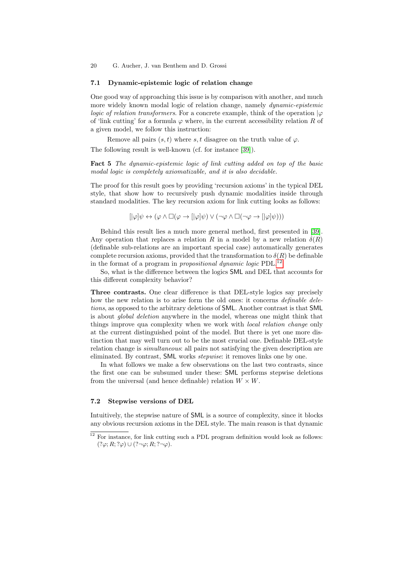#### 7.1 Dynamic-epistemic logic of relation change

One good way of approaching this issue is by comparison with another, and much more widely known modal logic of relation change, namely *dynamic-epistemic* logic of relation transformers. For a concrete example, think of the operation  $|\varphi|$ of 'link cutting' for a formula  $\varphi$  where, in the current accessibility relation R of a given model, we follow this instruction:

Remove all pairs  $(s, t)$  where s, t disagree on the truth value of  $\varphi$ .

The following result is well-known (cf. for instance [\[39\]](#page-32-4)).

Fact 5 The dynamic-epistemic logic of link cutting added on top of the basic modal logic is completely axiomatizable, and it is also decidable.

The proof for this result goes by providing 'recursion axioms' in the typical DEL style, that show how to recursively push dynamic modalities inside through standard modalities. The key recursion axiom for link cutting looks as follows:

$$
[|\varphi|\psi \leftrightarrow (\varphi \wedge \Box(\varphi \to [|\varphi|\psi) \vee (\neg \varphi \wedge \Box(\neg \varphi \to [|\varphi|\psi)))
$$

Behind this result lies a much more general method, first presented in [\[39\]](#page-32-4). Any operation that replaces a relation R in a model by a new relation  $\delta(R)$ (definable sub-relations are an important special case) automatically generates complete recursion axioms, provided that the transformation to  $\delta(R)$  be definable in the format of a program in *propositional dynamic logic* PDL.<sup>[12](#page-19-0)</sup>

So, what is the difference between the logics SML and DEL that accounts for this different complexity behavior?

Three contrasts. One clear difference is that DEL-style logics say precisely how the new relation is to arise form the old ones: it concerns *definable dele*tions, as opposed to the arbitrary deletions of SML. Another contrast is that SML is about global deletion anywhere in the model, whereas one might think that things improve qua complexity when we work with local relation change only at the current distinguished point of the model. But there is yet one more distinction that may well turn out to be the most crucial one. Definable DEL-style relation change is *simultaneous*: all pairs not satisfying the given description are eliminated. By contrast, SML works stepwise: it removes links one by one.

In what follows we make a few observations on the last two contrasts, since the first one can be subsumed under these: SML performs stepwise deletions from the universal (and hence definable) relation  $W \times W$ .

#### 7.2 Stepwise versions of DEL

Intuitively, the stepwise nature of SML is a source of complexity, since it blocks any obvious recursion axioms in the DEL style. The main reason is that dynamic

<span id="page-19-0"></span> $^{12}$  For instance, for link cutting such a PDL program definition would look as follows:  $(?\varphi; R; ?\varphi) \cup (?\neg \varphi; R; ?\neg \varphi).$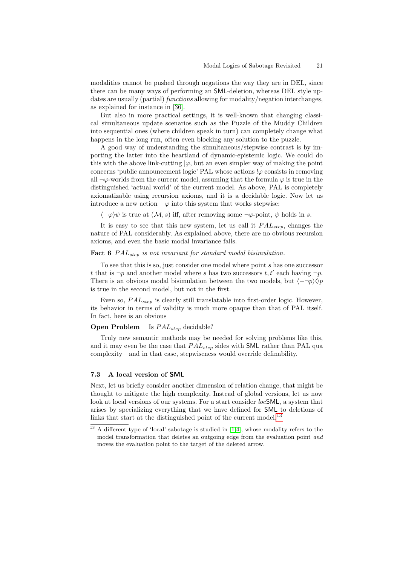modalities cannot be pushed through negations the way they are in DEL, since there can be many ways of performing an SML-deletion, whereas DEL style updates are usually (partial) *functions* allowing for modality/negation interchanges, as explained for instance in [\[36\]](#page-32-1).

But also in more practical settings, it is well-known that changing classical simultaneous update scenarios such as the Puzzle of the Muddy Children into sequential ones (where children speak in turn) can completely change what happens in the long run, often even blocking any solution to the puzzle.

A good way of understanding the simultaneous/stepwise contrast is by importing the latter into the heartland of dynamic-epistemic logic. We could do this with the above link-cutting  $|\varphi|$ , but an even simpler way of making the point concerns 'public announcement logic' PAL whose actions  $\varphi$  consists in removing all  $\neg \varphi$ -worlds from the current model, assuming that the formula  $\varphi$  is true in the distinguished 'actual world' of the current model. As above, PAL is completely axiomatizable using recursion axioms, and it is a decidable logic. Now let us introduce a new action  $-\varphi$  into this system that works stepwise:

 $\langle -\varphi \rangle \psi$  is true at  $(\mathcal{M}, s)$  iff, after removing some  $\neg \varphi$ -point,  $\psi$  holds in s.

It is easy to see that this new system, let us call it  $PAL_{step}$ , changes the nature of PAL considerably. As explained above, there are no obvious recursion axioms, and even the basic modal invariance fails.

## Fact 6  $PAL_{step}$  is not invariant for standard modal bisimulation.

To see that this is so, just consider one model where point s has one successor t that is  $\neg p$  and another model where s has two successors t, t' each having  $\neg p$ . There is an obvious modal bisimulation between the two models, but  $\langle -\neg p \rangle \Diamond p$ is true in the second model, but not in the first.

Even so,  $PAL_{step}$  is clearly still translatable into first-order logic. However, its behavior in terms of validity is much more opaque than that of PAL itself. In fact, here is an obvious

### **Open Problem** Is  $PAL_{step}$  decidable?

Truly new semantic methods may be needed for solving problems like this, and it may even be the case that  $PAL_{step}$  sides with SML rather than PAL qua complexity—and in that case, stepwiseness would override definability.

### 7.3 A local version of SML

Next, let us briefly consider another dimension of relation change, that might be thought to mitigate the high complexity. Instead of global versions, let us now look at local versions of our systems. For a start consider *loc*SML, a system that arises by specializing everything that we have defined for SML to deletions of links that start at the distinguished point of the current model.<sup>[13](#page-20-0)</sup>

<span id="page-20-0"></span> $13$  A different type of 'local' sabotage is studied in [\[1,](#page-30-2)[4\]](#page-30-4), whose modality refers to the model transformation that deletes an outgoing edge from the evaluation point and moves the evaluation point to the target of the deleted arrow.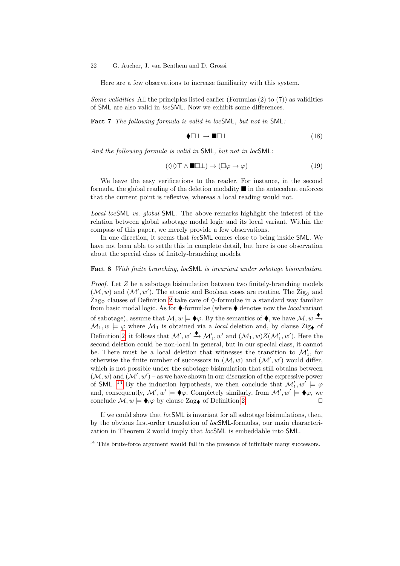Here are a few observations to increase familiarity with this system.

Some validities All the principles listed earlier (Formulas  $(2)$  to  $(7)$ ) as validities of SML are also valid in locSML. Now we exhibit some differences.

Fact 7 The following formula is valid in locSML, but not in SML:

$$
\blacklozenge \Box \bot \rightarrow \blacksquare \Box \bot \tag{18}
$$

And the following formula is valid in SML, but not in locSML:

$$
(\Diamond \Diamond \top \land \blacksquare \Box \bot) \to (\Box \varphi \to \varphi) \tag{19}
$$

We leave the easy verifications to the reader. For instance, in the second formula, the global reading of the deletion modality  $\blacksquare$  in the antecedent enforces that the current point is reflexive, whereas a local reading would not.

Local locSML vs. global SML. The above remarks highlight the interest of the relation between global sabotage modal logic and its local variant. Within the compass of this paper, we merely provide a few observations.

In one direction, it seems that locSML comes close to being inside SML. We have not been able to settle this in complete detail, but here is one observation about the special class of finitely-branching models.

#### Fact 8 With finite branching, locSML is invariant under sabotage bisimulation.

Proof. Let Z be a sabotage bisimulation between two finitely-branching models  $(\mathcal{M}, w)$  and  $(\mathcal{M}', w')$ . The atomic and Boolean cases are routine. The Zig<sub> $\Diamond$ </sub> and Zag<sub> $\Diamond$ </sub> clauses of Definition [2](#page-7-2) take care of  $\Diamond$ -formulae in a standard way familiar from basic modal logic. As for  $\blacklozenge$ -formulae (where  $\blacklozenge$  denotes now the *local* variant of sabotage), assume that  $\mathcal{M}, w \models \blacklozenge \varphi$ . By the semantics of  $\blacklozenge$ , we have  $\mathcal{M}, w \stackrel{\blacklozenge}{\rightarrow}$  $M_1, w \models \varphi$  where  $M_1$  is obtained via a *local* deletion and, by clause Zig<sub></sub> of Definition [2,](#page-7-2) it follows that  $\mathcal{M}'$ ,  $w' \stackrel{\blacklozenge}{\rightarrow} \mathcal{M}'_1$ ,  $w'$  and  $(\mathcal{M}_1, w)Z(\mathcal{M}'_1, w')$ . Here the second deletion could be non-local in general, but in our special class, it cannot be. There must be a local deletion that witnesses the transition to  $\mathcal{M}'_1$ , for otherwise the finite number of successors in  $(M, w)$  and  $(M', w')$  would differ, which is not possible under the sabotage bisimulation that still obtains between  $(\mathcal{M}, w)$  and  $(\mathcal{M}', w')$  – as we have shown in our discussion of the expressive power of SML.<sup>[14](#page-21-0)</sup> By the induction hypothesis, we then conclude that  $\mathcal{M}'_1, w' \models \varphi$ and, consequently,  $\mathcal{M}'$ ,  $w' \models \blacklozenge \varphi$ . Completely similarly, from  $\mathcal{M}'$ ,  $w' \models \blacklozenge \varphi$ , we conclude  $\mathcal{M}, w \models \blacklozenge_l \varphi$  by clause Zag of Definition [2.](#page-7-2)

If we could show that  $locSML$  is invariant for all sabotage bisimulations, then, by the obvious first-order translation of locSML-formulas, our main characterization in Theorem 2 would imply that locSML is embeddable into SML.

<span id="page-21-0"></span> $^{14}$  This brute-force argument would fail in the presence of infinitely many successors.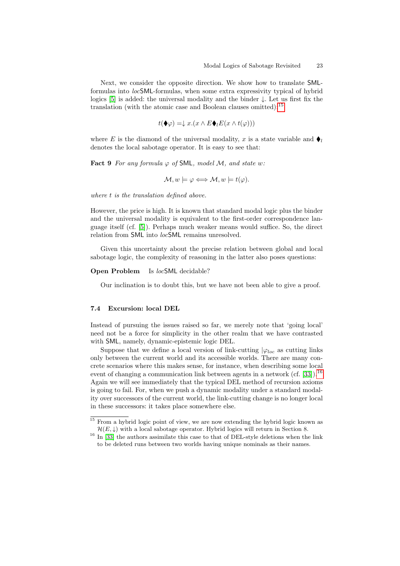Next, we consider the opposite direction. We show how to translate SMLformulas into locSML-formulas, when some extra expressivity typical of hybrid logics [\[5\]](#page-30-8) is added: the universal modality and the binder ↓. Let us first fix the translation (with the atomic case and Boolean clauses omitted):<sup>[15](#page-22-0)</sup>

$$
t(\blacklozenge\varphi) = \downarrow x.(x \land E\blacklozenge_{l}E(x \land t(\varphi)))
$$

where E is the diamond of the universal modality, x is a state variable and  $\bullet$ denotes the local sabotage operator. It is easy to see that:

Fact 9 For any formula  $\varphi$  of SML, model M, and state w:

$$
\mathcal{M}, w \models \varphi \Longleftrightarrow \mathcal{M}, w \models t(\varphi).
$$

where t is the translation defined above.

However, the price is high. It is known that standard modal logic plus the binder and the universal modality is equivalent to the first-order correspondence language itself (cf. [\[5\]](#page-30-8)). Perhaps much weaker means would suffice. So, the direct relation from **SML** into *loc***SML** remains unresolved.

Given this uncertainty about the precise relation between global and local sabotage logic, the complexity of reasoning in the latter also poses questions:

#### **Open Problem** Is locSML decidable?

Our inclination is to doubt this, but we have not been able to give a proof.

#### 7.4 Excursion: local DEL

Instead of pursuing the issues raised so far, we merely note that 'going local' need not be a force for simplicity in the other realm that we have contrasted with SML, namely, dynamic-epistemic logic DEL.

Suppose that we define a local version of link-cutting  $|\varphi_{loc}|$  as cutting links only between the current world and its accessible worlds. There are many concrete scenarios where this makes sense, for instance, when describing some local event of changing a communication link between agents in a network (cf.  $[33]$ ).<sup>[16](#page-22-1)</sup> Again we will see immediately that the typical DEL method of recursion axioms is going to fail. For, when we push a dynamic modality under a standard modality over successors of the current world, the link-cutting change is no longer local in these successors: it takes place somewhere else.

<span id="page-22-0"></span><sup>&</sup>lt;sup>15</sup> From a hybrid logic point of view, we are now extending the hybrid logic known as  $\mathcal{H}(E,\downarrow)$  with a local sabotage operator. Hybrid logics will return in Section 8.

<span id="page-22-1"></span> $16$  In [\[33\]](#page-32-2) the authors assimilate this case to that of DEL-style deletions when the link to be deleted runs between two worlds having unique nominals as their names.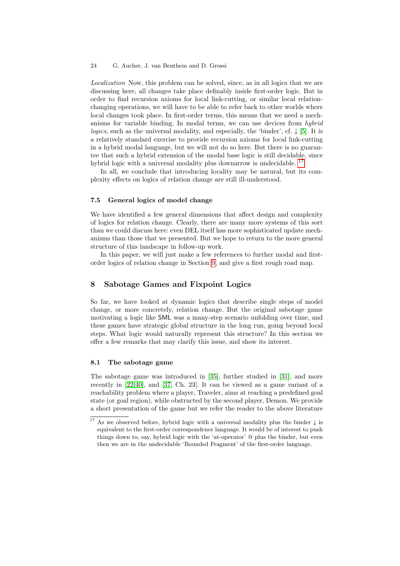Localization Now, this problem can be solved, since, as in all logics that we are discussing here, all changes take place definably inside first-order logic. But in order to find recursion axioms for local link-cutting, or similar local relationchanging operations, we will have to be able to refer back to other worlds where local changes took place. In first-order terms, this means that we need a mechanisms for variable binding. In modal terms, we can use devices from hybrid logics, such as the universal modality, and especially, the 'binder', cf.  $\downarrow$  [\[5\]](#page-30-8). It is a relatively standard exercise to provide recursion axioms for local link-cutting in a hybrid modal language, but we will not do so here. But there is no guarantee that such a hybrid extension of the modal base logic is still decidable, since hybrid logic with a universal modality plus downarrow is undecidable.<sup>1</sup>

In all, we conclude that introducing locality may be natural, but its complexity effects on logics of relation change are still ill-understood.

### 7.5 General logics of model change

We have identified a few general dimensions that affect design and complexity of logics for relation change. Clearly, there are many more systems of this sort than we could discuss here: even DEL itself has more sophisticated update mechanisms than those that we presented. But we hope to return to the more general structure of this landscape in follow-up work.

In this paper, we will just make a few references to further modal and firstorder logics of relation change in Section [9,](#page-27-0) and give a first rough road map.

## 8 Sabotage Games and Fixpoint Logics

So far, we have looked at dynamic logics that describe single steps of model change, or more concretely, relation change. But the original sabotage game motivating a logic like SML was a many-step scenario unfolding over time, and these games have strategic global structure in the long run, going beyond local steps. What logic would naturally represent this structure? In this section we offer a few remarks that may clarify this issue, and show its interest.

### 8.1 The sabotage game

The sabotage game was introduced in [\[35\]](#page-32-0), further studied in [\[31\]](#page-31-7), and more recently in [\[22,](#page-31-3)[40\]](#page-32-5), and [\[37,](#page-32-3) Ch. 23]. It can be viewed as a game variant of a reachability problem where a player, Traveler, aims at reaching a predefined goal state (or goal region), while obstructed by the second player, Demon. We provide a short presentation of the game but we refer the reader to the above literature

<span id="page-23-0"></span> $^{17}$  As we observed before, hybrid logic with a universal modality plus the binder  $\downarrow$  is equivalent to the first-order correspondence language. It would be of interest to push things down to, say, hybrid logic with the 'at-operator' @ plus the binder, but even then we are in the undecidable 'Bounded Fragment' of the first-order language.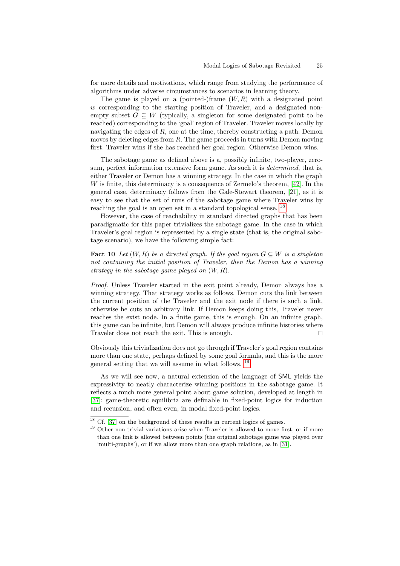for more details and motivations, which range from studying the performance of algorithms under adverse circumstances to scenarios in learning theory.

The game is played on a (pointed-)frame  $(W, R)$  with a designated point w corresponding to the starting position of Traveler, and a designated nonempty subset  $G \subseteq W$  (typically, a singleton for some designated point to be reached) corresponding to the 'goal' region of Traveler. Traveler moves locally by navigating the edges of  $R$ , one at the time, thereby constructing a path. Demon moves by deleting edges from  $R$ . The game proceeds in turns with Demon moving first. Traveler wins if she has reached her goal region. Otherwise Demon wins.

The sabotage game as defined above is a, possibly infinite, two-player, zerosum, perfect information extensive form game. As such it is determined, that is, either Traveler or Demon has a winning strategy. In the case in which the graph W is finite, this determinacy is a consequence of Zermelo's theorem, [\[42\]](#page-32-6). In the general case, determinacy follows from the Gale-Stewart theorem, [\[21\]](#page-31-13), as it is easy to see that the set of runs of the sabotage game where Traveler wins by reaching the goal is an open set in a standard topological sense.<sup>[18](#page-24-0)</sup>

However, the case of reachability in standard directed graphs that has been paradigmatic for this paper trivializes the sabotage game. In the case in which Traveler's goal region is represented by a single state (that is, the original sabotage scenario), we have the following simple fact:

<span id="page-24-2"></span>**Fact 10** Let  $(W, R)$  be a directed graph. If the goal region  $G \subseteq W$  is a singleton not containing the initial position of Traveler, then the Demon has a winning strategy in the sabotage game played on  $(W, R)$ .

Proof. Unless Traveler started in the exit point already, Demon always has a winning strategy. That strategy works as follows. Demon cuts the link between the current position of the Traveler and the exit node if there is such a link, otherwise he cuts an arbitrary link. If Demon keeps doing this, Traveler never reaches the exist node. In a finite game, this is enough. On an infinite graph, this game can be infinite, but Demon will always produce infinite histories where Traveler does not reach the exit. This is enough.  $\square$ 

Obviously this trivialization does not go through if Traveler's goal region contains more than one state, perhaps defined by some goal formula, and this is the more general setting that we will assume in what follows. [19](#page-24-1)

As we will see now, a natural extension of the language of SML yields the expressivity to neatly characterize winning positions in the sabotage game. It reflects a much more general point about game solution, developed at length in [\[37\]](#page-32-3): game-theoretic equilibria are definable in fixed-point logics for induction and recursion, and often even, in modal fixed-point logics.

<span id="page-24-0"></span> $^{18}$  Cf.  $\left[37\right]$  on the background of these results in current logics of games.

<span id="page-24-1"></span><sup>&</sup>lt;sup>19</sup> Other non-trivial variations arise when Traveler is allowed to move first, or if more than one link is allowed between points (the original sabotage game was played over 'multi-graphs'), or if we allow more than one graph relations, as in [\[31\]](#page-31-7).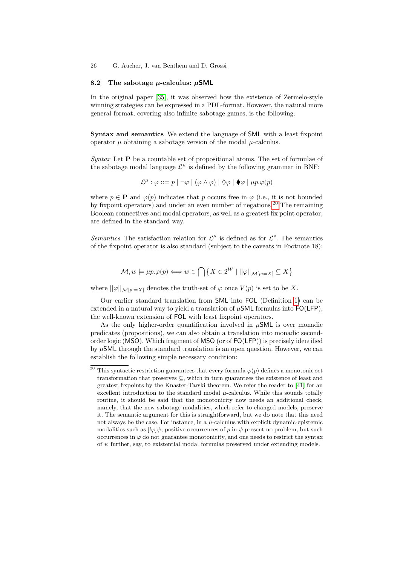### 8.2 The sabotage  $\mu$ -calculus:  $\mu$ SML

In the original paper [\[35\]](#page-32-0), it was observed how the existence of Zermelo-style winning strategies can be expressed in a PDL-format. However, the natural more general format, covering also infinite sabotage games, is the following.

Syntax and semantics We extend the language of SML with a least fixpoint operator  $\mu$  obtaining a sabotage version of the modal  $\mu$ -calculus.

Syntax Let  $P$  be a countable set of propositional atoms. The set of formulae of the sabotage modal language  $\mathcal{L}^{\mu}$  is defined by the following grammar in BNF:

$$
\mathcal{L}^{\mu} : \varphi ::= p \mid \neg \varphi \mid (\varphi \land \varphi) \mid \Diamond \varphi \mid \blacklozenge \varphi \mid \mu p. \varphi(p)
$$

where  $p \in \mathbf{P}$  and  $\varphi(p)$  indicates that p occurs free in  $\varphi$  (i.e., it is not bounded by fixpoint operators) and under an even number of negations.<sup>[20](#page-25-0)</sup> The remaining Boolean connectives and modal operators, as well as a greatest fix point operator, are defined in the standard way.

Semantics The satisfaction relation for  $\mathcal{L}^{\mu}$  is defined as for  $\mathcal{L}^{s}$ . The semantics of the fixpoint operator is also standard (subject to the caveats in Footnote 18):

$$
\mathcal{M}, w \models \mu p. \varphi(p) \Longleftrightarrow w \in \bigcap \left\{ X \in 2^W \mid ||\varphi||_{\mathcal{M}[p:=X]} \subseteq X \right\}
$$

where  $\|\varphi\|_{\mathcal{M}[p:=X]}$  denotes the truth-set of  $\varphi$  once  $V(p)$  is set to be X.

Our earlier standard translation from SML into FOL (Definition [1\)](#page-5-0) can be extended in a natural way to yield a translation of  $\mu$ SML formulas into FO(LFP), the well-known extension of FOL with least fixpoint operators.

As the only higher-order quantification involved in  $\mu$ SML is over monadic predicates (propositions), we can also obtain a translation into monadic secondorder logic (MSO). Which fragment of MSO (or of FO(LFP)) is precisely identified by  $\mu$ SML through the standard translation is an open question. However, we can establish the following simple necessary condition:

<span id="page-25-0"></span><sup>&</sup>lt;sup>20</sup> This syntactic restriction guarantees that every formula  $\varphi(p)$  defines a monotonic set transformation that preserves ⊆, which in turn guarantees the existence of least and greatest fixpoints by the Knaster-Tarski theorem. We refer the reader to [\[41\]](#page-32-7) for an excellent introduction to the standard modal  $\mu$ -calculus. While this sounds totally routine, it should be said that the monotonicity now needs an additional check, namely, that the new sabotage modalities, which refer to changed models, preserve it. The semantic argument for this is straightforward, but we do note that this need not always be the case. For instance, in a  $\mu$ -calculus with explicit dynamic-epistemic modalities such as  $[\psi]\psi$ , positive occurrences of p in  $\psi$  present no problem, but such occurrences in  $\varphi$  do not guarantee monotonicity, and one needs to restrict the syntax of  $\psi$  further, say, to existential modal formulas preserved under extending models.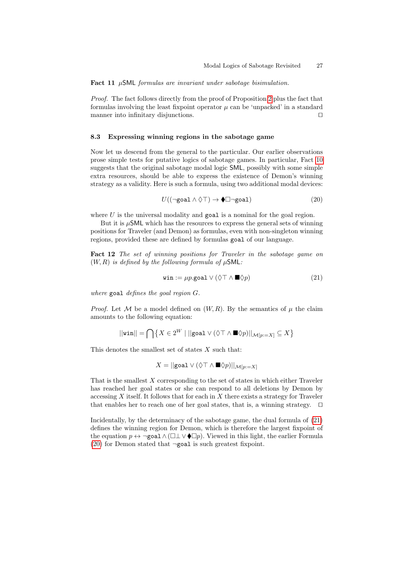Fact 11  $\mu$ SML formulas are invariant under sabotage bisimulation.

Proof. The fact follows directly from the proof of Proposition [2](#page-8-0) plus the fact that formulas involving the least fixpoint operator  $\mu$  can be 'unpacked' in a standard manner into infinitary disjunctions.  $\Box$ 

### 8.3 Expressing winning regions in the sabotage game

Now let us descend from the general to the particular. Our earlier observations prose simple tests for putative logics of sabotage games. In particular, Fact [10](#page-24-2) suggests that the original sabotage modal logic SML, possibly with some simple extra resources, should be able to express the existence of Demon's winning strategy as a validity. Here is such a formula, using two additional modal devices:

<span id="page-26-1"></span>
$$
U((\neg \text{goal} \land \Diamond \top) \to \blacklozenge \Box \neg \text{goal}) \tag{20}
$$

where  $U$  is the universal modality and goal is a nominal for the goal region.

But it is  $\mu$ SML which has the resources to express the general sets of winning positions for Traveler (and Demon) as formulas, even with non-singleton winning regions, provided these are defined by formulas goal of our language.

Fact 12 The set of winning positions for Traveler in the sabotage game on  $(W, R)$  is defined by the following formula of  $\mu$ SML:

<span id="page-26-0"></span>
$$
\text{win} := \mu p. \text{goal} \lor (\Diamond \top \land \blacksquare \Diamond p) \tag{21}
$$

where goal defines the goal region G.

*Proof.* Let M be a model defined on  $(W, R)$ . By the semantics of  $\mu$  the claim amounts to the following equation:

$$
||\mathsf{win}|| = \bigcap\left\{X \in 2^W \mid ||\mathsf{goal} \vee (\lozenge\top \wedge \blacksquare \lozenge p) ||_{\mathcal{M}[p:=X]} \subseteq X\right\}
$$

This denotes the smallest set of states  $X$  such that:

$$
X = ||\text{goal} \lor (\Diamond \top \land \blacksquare \Diamond p)||_{\mathcal{M}[p:=X]}
$$

That is the smallest X corresponding to the set of states in which either Traveler has reached her goal states or she can respond to all deletions by Demon by accessing  $X$  itself. It follows that for each in  $X$  there exists a strategy for Traveler that enables her to reach one of her goal states, that is, a winning strategy.  $\square$ 

Incidentally, by the determinacy of the sabotage game, the dual formula of [\(21\)](#page-26-0) defines the winning region for Demon, which is therefore the largest fixpoint of the equation  $p \leftrightarrow \neg \text{goal} \land (\Box \bot \lor \blacklozenge \Box p)$ . Viewed in this light, the earlier Formula [\(20\)](#page-26-1) for Demon stated that  $\neg$ goal is such greatest fixpoint.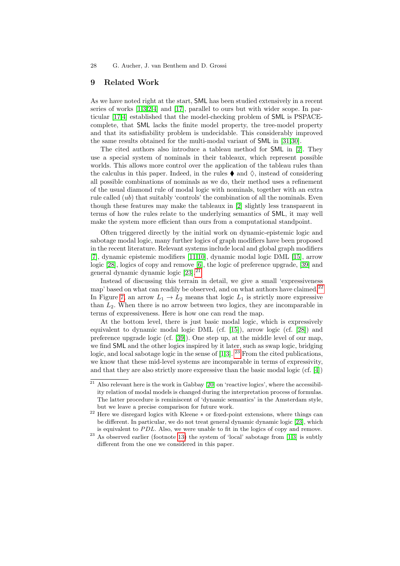### <span id="page-27-0"></span>9 Related Work

As we have noted right at the start, SML has been studied extensively in a recent series of works [\[1,](#page-30-2)[3,](#page-30-1)[2](#page-30-5)[,4\]](#page-30-4) and [\[17\]](#page-31-12), parallel to ours but with wider scope. In particular [\[17](#page-31-12)[,4\]](#page-30-4) established that the model-checking problem of SML is PSPACEcomplete, that SML lacks the finite model property, the tree-model property and that its satisfiability problem is undecidable. This considerably improved the same results obtained for the multi-modal variant of SML in [\[31,](#page-31-7)[30\]](#page-31-8).

The cited authors also introduce a tableau method for SML in [\[2\]](#page-30-5). They use a special system of nominals in their tableaux, which represent possible worlds. This allows more control over the application of the tableau rules than the calculus in this paper. Indeed, in the rules  $\bullet$  and  $\Diamond$ , instead of considering all possible combinations of nominals as we do, their method uses a refinement of the usual diamond rule of modal logic with nominals, together with an extra rule called  $(ub)$  that suitably 'controls' the combination of all the nominals. Even though these features may make the tableaux in [\[2\]](#page-30-5) slightly less transparent in terms of how the rules relate to the underlying semantics of SML, it may well make the system more efficient than ours from a computational standpoint.

Often triggered directly by the initial work on dynamic-epistemic logic and sabotage modal logic, many further logics of graph modifiers have been proposed in the recent literature. Relevant systems include local and global graph modifiers [\[7\]](#page-30-0), dynamic epistemic modifiers [\[11,](#page-30-9)[10\]](#page-30-10), dynamic modal logic DML [\[15\]](#page-31-14), arrow logic [\[28\]](#page-31-0), logics of copy and remove [\[6\]](#page-30-11), the logic of preference upgrade, [\[39\]](#page-32-4) and general dynamic dynamic logic  $[23]$ .

Instead of discussing this terrain in detail, we give a small 'expressiveness map' based on what can readily be observed, and on what authors have claimed.<sup>[22](#page-27-2)</sup> In Figure [7,](#page-28-1) an arrow  $L_1 \rightarrow L_2$  means that logic  $L_1$  is strictly more expressive than  $L_2$ . When there is no arrow between two logics, they are incomparable in terms of expressiveness. Here is how one can read the map.

At the bottom level, there is just basic modal logic, which is expressively equivalent to dynamic modal logic DML (cf. [\[15\]](#page-31-14)), arrow logic (cf. [\[28\]](#page-31-0)) and preference upgrade logic (cf. [\[39\]](#page-32-4)). One step up, at the middle level of our map, we find SML and the other logics inspired by it later, such as swap logic, bridging logic, and local sabotage logic in the sense of  $[1,3]$  $[1,3]$ . <sup>[23](#page-27-3)</sup> From the cited publications, we know that these mid-level systems are incomparable in terms of expressivity, and that they are also strictly more expressive than the basic modal logic (cf. [\[4\]](#page-30-4))

<span id="page-27-1"></span> $\frac{21}{21}$  Also relevant here is the work in Gabbay [\[20\]](#page-31-16) on 'reactive logics', where the accessibility relation of modal models is changed during the interpretation process of formulas. The latter procedure is reminiscent of 'dynamic semantics' in the Amsterdam style, but we leave a precise comparison for future work.

<span id="page-27-2"></span><sup>22</sup> Here we disregard logics with Kleene ∗ or fixed-point extensions, where things can be different. In particular, we do not treat general dynamic dynamic logic [\[23\]](#page-31-15), which is equivalent to  $PDL$ . Also, we were unable to fit in the logics of copy and remove.

<span id="page-27-3"></span> $23$  As observed earlier (footnote [13\)](#page-20-0) the system of 'local' sabotage from [\[1,](#page-30-2)[3\]](#page-30-1) is subtly different from the one we considered in this paper.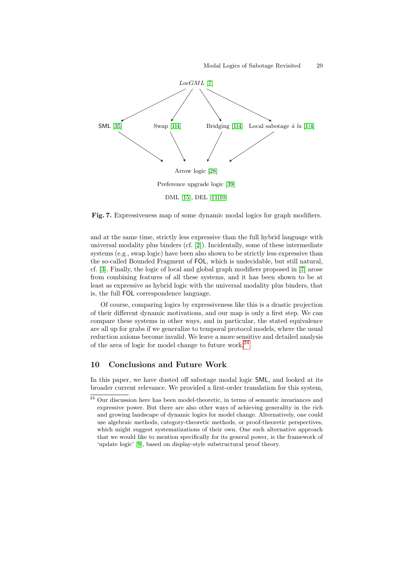

<span id="page-28-1"></span>Fig. 7. Expressiveness map of some dynamic modal logics for graph modifiers.

and at the same time, strictly less expressive than the full hybrid language with universal modality plus binders (cf. [\[2\]](#page-30-5)). Incidentally, some of these intermediate systems (e.g., swap logic) have been also shown to be strictly less expressive than the so-called Bounded Fragment of FOL, which is undecidable, but still natural, cf. [\[3\]](#page-30-1). Finally, the logic of local and global graph modifiers proposed in [\[7\]](#page-30-0) arose from combining features of all these systems, and it has been shown to be at least as expressive as hybrid logic with the universal modality plus binders, that is, the full FOL correspondence language.

Of course, comparing logics by expressiveness like this is a drastic projection of their different dynamic motivations, and our map is only a first step. We can compare these systems in other ways, and in particular, the stated equivalence are all up for grabs if we generalize to temporal protocol models, where the usual reduction axioms become invalid. We leave a more sensitive and detailed analysis of the area of logic for model change to future work.<sup>[24](#page-28-2)</sup>

## <span id="page-28-0"></span>10 Conclusions and Future Work

In this paper, we have dusted off sabotage modal logic SML, and looked at its broader current relevance. We provided a first-order translation for this system,

<span id="page-28-2"></span> $\frac{1}{24}$  Our discussion here has been model-theoretic, in terms of semantic invariances and expressive power. But there are also other ways of achieving generality in the rich and growing landscape of dynamic logics for model change. Alternatively, one could use algebraic methods, category-theoretic methods, or proof-theoretic perspectives, which might suggest systematizations of their own. One such alternative approach that we would like to mention specifically for its general power, is the framework of 'update logic' [\[9\]](#page-30-12), based on display-style substructural proof theory.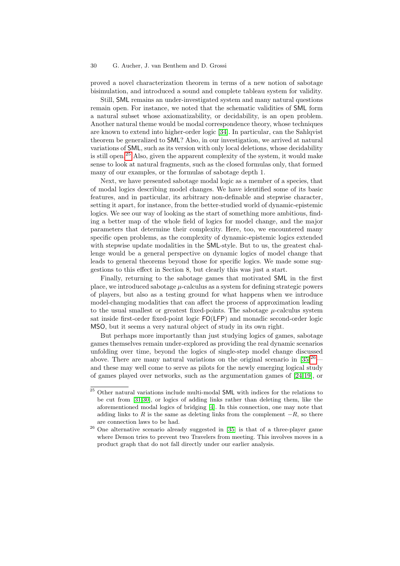proved a novel characterization theorem in terms of a new notion of sabotage bisimulation, and introduced a sound and complete tableau system for validity.

Still, SML remains an under-investigated system and many natural questions remain open. For instance, we noted that the schematic validities of SML form a natural subset whose axiomatizability, or decidability, is an open problem. Another natural theme would be modal correspondence theory, whose techniques are known to extend into higher-order logic [\[34\]](#page-32-8). In particular, can the Sahlqvist theorem be generalized to SML? Also, in our investigation, we arrived at natural variations of SML, such as its version with only local deletions, whose decidability is still open.<sup>[25](#page-29-0)</sup> Also, given the apparent complexity of the system, it would make sense to look at natural fragments, such as the closed formulas only, that formed many of our examples, or the formulas of sabotage depth 1.

Next, we have presented sabotage modal logic as a member of a species, that of modal logics describing model changes. We have identified some of its basic features, and in particular, its arbitrary non-definable and stepwise character, setting it apart, for instance, from the better-studied world of dynamic-epistemic logics. We see our way of looking as the start of something more ambitious, finding a better map of the whole field of logics for model change, and the major parameters that determine their complexity. Here, too, we encountered many specific open problems, as the complexity of dynamic-epistemic logics extended with stepwise update modalities in the **SML**-style. But to us, the greatest challenge would be a general perspective on dynamic logics of model change that leads to general theorems beyond those for specific logics. We made some suggestions to this effect in Section 8, but clearly this was just a start.

Finally, returning to the sabotage games that motivated SML in the first place, we introduced sabotage  $\mu$ -calculus as a system for defining strategic powers of players, but also as a testing ground for what happens when we introduce model-changing modalities that can affect the process of approximation leading to the usual smallest or greatest fixed-points. The sabotage  $\mu$ -calculus system sat inside first-order fixed-point logic FO(LFP) and monadic second-order logic MSO, but it seems a very natural object of study in its own right.

But perhaps more importantly than just studying logics of games, sabotage games themselves remain under-explored as providing the real dynamic scenarios unfolding over time, beyond the logics of single-step model change discussed above. There are many natural variations on the original scenario in  $[35]^{26}$  $[35]^{26}$  $[35]^{26}$  $[35]^{26}$ and these may well come to serve as pilots for the newly emerging logical study of games played over networks, such as the argumentation games of [\[24,](#page-31-5)[19\]](#page-31-17), or

<span id="page-29-0"></span> $^{25}$  Other natural variations include multi-modal  $\textsf{SML}$  with indices for the relations to be cut from [\[31,](#page-31-7)[30\]](#page-31-8), or logics of adding links rather than deleting them, like the aforementioned modal logics of bridging [\[4\]](#page-30-4). In this connection, one may note that adding links to R is the same as deleting links from the complement  $-R$ , so there are connection laws to be had.

<span id="page-29-1"></span><sup>26</sup> One alternative scenario already suggested in [\[35\]](#page-32-0) is that of a three-player game where Demon tries to prevent two Travelers from meeting. This involves moves in a product graph that do not fall directly under our earlier analysis.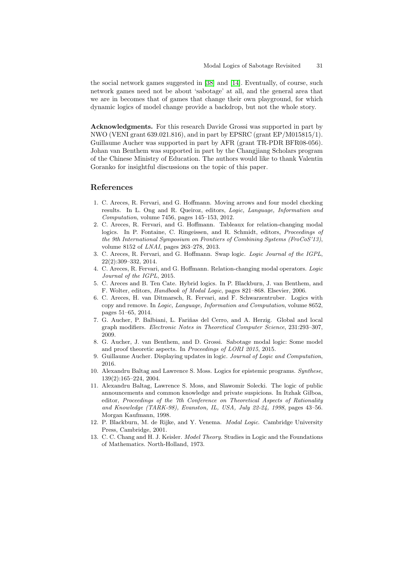the social network games suggested in [\[38\]](#page-32-9) and [\[14\]](#page-31-18). Eventually, of course, such network games need not be about 'sabotage' at all, and the general area that we are in becomes that of games that change their own playground, for which dynamic logics of model change provide a backdrop, but not the whole story.

Acknowledgments. For this research Davide Grossi was supported in part by NWO (VENI grant 639.021.816), and in part by EPSRC (grant EP/M015815/1). Guillaume Aucher was supported in part by AFR (grant TR-PDR BFR08-056). Johan van Benthem was supported in part by the Changjiang Scholars program of the Chinese Ministry of Education. The authors would like to thank Valentin Goranko for insightful discussions on the topic of this paper.

## References

- <span id="page-30-2"></span>1. C. Areces, R. Fervari, and G. Hoffmann. Moving arrows and four model checking results. In L. Ong and R. Queiroz, editors, Logic, Language, Information and Computation, volume 7456, pages 145–153, 2012.
- <span id="page-30-5"></span>2. C. Areces, R. Fervari, and G. Hoffmann. Tableaux for relation-changing modal logics. In P. Fontaine, C. Ringeissen, and R. Schmidt, editors, *Proceedings of* the 9th International Symposium on Frontiers of Combining Systems (FroCoS'13), volume 8152 of LNAI, pages 263–278, 2013.
- <span id="page-30-1"></span>3. C. Areces, R. Fervari, and G. Hoffmann. Swap logic. Logic Journal of the IGPL, 22(2):309–332, 2014.
- <span id="page-30-4"></span>4. C. Areces, R. Fervari, and G. Hoffmann. Relation-changing modal operators. Logic Journal of the IGPL, 2015.
- <span id="page-30-8"></span>5. C. Areces and B. Ten Cate. Hybrid logics. In P. Blackburn, J. van Benthem, and F. Wolter, editors, Handbook of Modal Logic, pages 821–868. Elsevier, 2006.
- <span id="page-30-11"></span>6. C. Areces, H. van Ditmarsch, R. Fervari, and F. Schwarzentruber. Logics with copy and remove. In Logic, Language, Information and Computation, volume 8652, pages 51–65, 2014.
- <span id="page-30-0"></span>7. G. Aucher, P. Balbiani, L. Fariñas del Cerro, and A. Herzig. Global and local graph modifiers. Electronic Notes in Theoretical Computer Science, 231:293–307, 2009.
- <span id="page-30-3"></span>8. G. Aucher, J. van Benthem, and D. Grossi. Sabotage modal logic: Some model and proof theoretic aspects. In Proceedings of LORI 2015, 2015.
- <span id="page-30-12"></span>9. Guillaume Aucher. Displaying updates in logic. Journal of Logic and Computation, 2016.
- <span id="page-30-10"></span>10. Alexandru Baltag and Lawrence S. Moss. Logics for epistemic programs. Synthese, 139(2):165–224, 2004.
- <span id="page-30-9"></span>11. Alexandru Baltag, Lawrence S. Moss, and Slawomir Solecki. The logic of public announcements and common knowledge and private suspicions. In Itzhak Gilboa, editor, Proceedings of the 7th Conference on Theoretical Aspects of Rationality and Knowledge (TARK-98), Evanston, IL, USA, July 22-24, 1998, pages 43–56. Morgan Kaufmann, 1998.
- <span id="page-30-6"></span>12. P. Blackburn, M. de Rijke, and Y. Venema. Modal Logic. Cambridge University Press, Cambridge, 2001.
- <span id="page-30-7"></span>13. C. C. Chang and H. J. Keisler. Model Theory. Studies in Logic and the Foundations of Mathematics. North-Holland, 1973.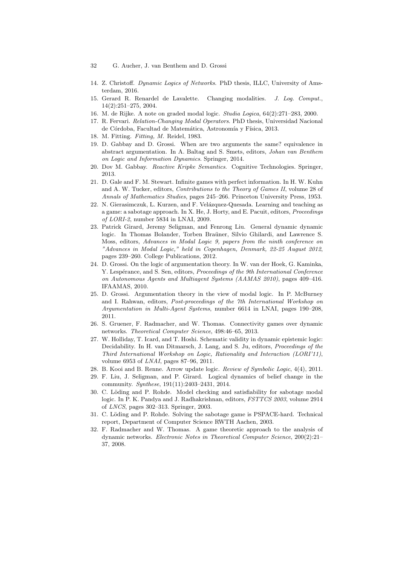- 32 G. Aucher, J. van Benthem and D. Grossi
- <span id="page-31-18"></span>14. Z. Christoff. Dynamic Logics of Networks. PhD thesis, ILLC, University of Amsterdam, 2016.
- <span id="page-31-14"></span>15. Gerard R. Renardel de Lavalette. Changing modalities. J. Log. Comput., 14(2):251–275, 2004.
- <span id="page-31-10"></span>16. M. de Rijke. A note on graded modal logic. Studia Logica, 64(2):271–283, 2000.
- <span id="page-31-12"></span>17. R. Fervari. Relation-Changing Modal Operators. PhD thesis, Universidad Nacional de Córdoba, Facultad de Matemática, Astronomía y Física, 2013.
- <span id="page-31-11"></span>18. M. Fitting. Fitting, M. Reidel, 1983.
- <span id="page-31-17"></span>19. D. Gabbay and D. Grossi. When are two arguments the same? equivalence in abstract argumentation. In A. Baltag and S. Smets, editors, Johan van Benthem on Logic and Information Dynamics. Springer, 2014.
- <span id="page-31-16"></span>20. Dov M. Gabbay. Reactive Kripke Semantics. Cognitive Technologies. Springer, 2013.
- <span id="page-31-13"></span>21. D. Gale and F. M. Stewart. Infinite games with perfect information. In H. W. Kuhn and A. W. Tucker, editors, Contributions to the Theory of Games II, volume 28 of Annals of Mathematics Studies, pages 245–266. Princeton University Press, 1953.
- <span id="page-31-3"></span>22. N. Gierasimczuk, L. Kurzen, and F. Velázquez-Quesada. Learning and teaching as a game: a sabotage approach. In X. He, J. Horty, and E. Pacuit, editors, Proceedings of LORI-2, number 5834 in LNAI, 2009.
- <span id="page-31-15"></span>23. Patrick Girard, Jeremy Seligman, and Fenrong Liu. General dynamic dynamic logic. In Thomas Bolander, Torben Braüner, Silvio Ghilardi, and Lawrence S. Moss, editors, Advances in Modal Logic 9, papers from the ninth conference on "Advances in Modal Logic," held in Copenhagen, Denmark, 22-25 August 2012, pages 239–260. College Publications, 2012.
- <span id="page-31-5"></span>24. D. Grossi. On the logic of argumentation theory. In W. van der Hoek, G. Kaminka, Y. Lespérance, and S. Sen, editors, *Proceedings of the 9th International Conference* on Autonomous Agents and Multiagent Systems (AAMAS 2010), pages 409–416. IFAAMAS, 2010.
- <span id="page-31-6"></span>25. D. Grossi. Argumentation theory in the view of modal logic. In P. McBurney and I. Rahwan, editors, Post-proceedings of the 7th International Workshop on Argumentation in Multi-Agent Systems, number 6614 in LNAI, pages 190–208, 2011.
- <span id="page-31-2"></span>26. S. Gruener, F. Radmacher, and W. Thomas. Connectivity games over dynamic networks. Theoretical Computer Science, 498:46–65, 2013.
- <span id="page-31-9"></span>27. W. Holliday, T. Icard, and T. Hoshi. Schematic validity in dynamic epistemic logic: Decidability. In H. van Ditmarsch, J. Lang, and S. Ju, editors, Proceedings of the Third International Workshop on Logic, Rationality and Interaction (LORI'11), volume 6953 of LNAI, pages 87–96, 2011.
- <span id="page-31-0"></span>28. B. Kooi and B. Renne. Arrow update logic. Review of Symbolic Logic, 4(4), 2011.
- <span id="page-31-4"></span>29. F. Liu, J. Seligman, and P. Girard. Logical dynamics of belief change in the community. Synthese, 191(11):2403–2431, 2014.
- <span id="page-31-8"></span>30. C. Löding and P. Rohde. Model checking and satisfiability for sabotage modal logic. In P. K. Pandya and J. Radhakrishnan, editors, FSTTCS 2003, volume 2914 of LNCS, pages 302–313. Springer, 2003.
- <span id="page-31-7"></span>31. C. Löding and P. Rohde. Solving the sabotage game is PSPACE-hard. Technical report, Department of Computer Science RWTH Aachen, 2003.
- <span id="page-31-1"></span>32. F. Radmacher and W. Thomas. A game theoretic approach to the analysis of dynamic networks. Electronic Notes in Theoretical Computer Science, 200(2):21– 37, 2008.